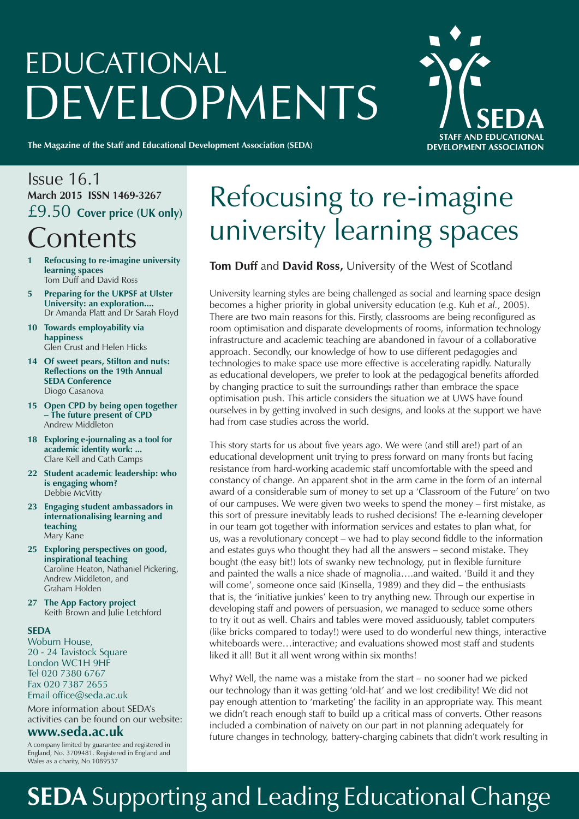# EDUCATIONAL **DEVELOPMENTS**

**STAFF AND EDUCATIONAL DEVELOPMENT ASSOCIATION** 

**The Magazine of the Staff and Educational Development Association (SEDA)**

### Issue 16.1 **March 2015 ISSN 1469-3267** £9.50 **Cover price (UK only) Contents**

- **1 Refocusing to re-imagine university learning spaces** Tom Duff and David Ross
- **5 Preparing for the UKPSF at Ulster University: an exploration....** Dr Amanda Platt and Dr Sarah Floyd
- **10 Towards employability via happiness** Glen Crust and Helen Hicks
- **14 Of sweet pears, Stilton and nuts: Reflections on the 19th Annual SEDA Conference** Diogo Casanova
- **15 Open CPD by being open together – The future present of CPD** Andrew Middleton
- **18 Exploring e-journaling as a tool for academic identity work: ...**  Clare Kell and Cath Camps
- **22 Student academic leadership: who is engaging whom?** Debbie McVitty
- **23 Engaging student ambassadors in internationalising learning and teaching** Mary Kane
- **25 Exploring perspectives on good, inspirational teaching** Caroline Heaton, Nathaniel Pickering, Andrew Middleton, and Graham Holden
- **27 The App Factory project** Keith Brown and Julie Letchford

#### **SEDA**

Woburn House, 20 - 24 Tavistock Square London WC1H 9HF Tel 020 7380 6767 Fax 020 7387 2655 Email office@seda.ac.uk

More information about SEDA's activities can be found on our website:

#### **www.seda.ac.uk**

A company limited by guarantee and registered in England, No. 3709481. Registered in England and Wales as a charity, No.1089537

## Refocusing to re-imagine university learning spaces

#### **Tom Duff** and **David Ross,** University of the West of Scotland

University learning styles are being challenged as social and learning space design becomes a higher priority in global university education (e.g. Kuh *et al.*, 2005). There are two main reasons for this. Firstly, classrooms are being reconfigured as room optimisation and disparate developments of rooms, information technology infrastructure and academic teaching are abandoned in favour of a collaborative approach. Secondly, our knowledge of how to use different pedagogies and technologies to make space use more effective is accelerating rapidly. Naturally as educational developers, we prefer to look at the pedagogical benefits afforded by changing practice to suit the surroundings rather than embrace the space optimisation push. This article considers the situation we at UWS have found ourselves in by getting involved in such designs, and looks at the support we have had from case studies across the world.

This story starts for us about five years ago. We were (and still are!) part of an educational development unit trying to press forward on many fronts but facing resistance from hard-working academic staff uncomfortable with the speed and constancy of change. An apparent shot in the arm came in the form of an internal award of a considerable sum of money to set up a 'Classroom of the Future' on two of our campuses. We were given two weeks to spend the money – first mistake, as this sort of pressure inevitably leads to rushed decisions! The e-learning developer in our team got together with information services and estates to plan what, for us, was a revolutionary concept – we had to play second fiddle to the information and estates guys who thought they had all the answers – second mistake. They bought (the easy bit!) lots of swanky new technology, put in flexible furniture and painted the walls a nice shade of magnolia….and waited. 'Build it and they will come', someone once said (Kinsella, 1989) and they did – the enthusiasts that is, the 'initiative junkies' keen to try anything new. Through our expertise in developing staff and powers of persuasion, we managed to seduce some others to try it out as well. Chairs and tables were moved assiduously, tablet computers (like bricks compared to today!) were used to do wonderful new things, interactive whiteboards were…interactive; and evaluations showed most staff and students liked it all! But it all went wrong within six months!

Why? Well, the name was a mistake from the start – no sooner had we picked our technology than it was getting 'old-hat' and we lost credibility! We did not pay enough attention to 'marketing' the facility in an appropriate way. This meant we didn't reach enough staff to build up a critical mass of converts. Other reasons included a combination of naivety on our part in not planning adequately for future changes in technology, battery-charging cabinets that didn't work resulting in

## **SEDA** Supporting and Leading Educational Change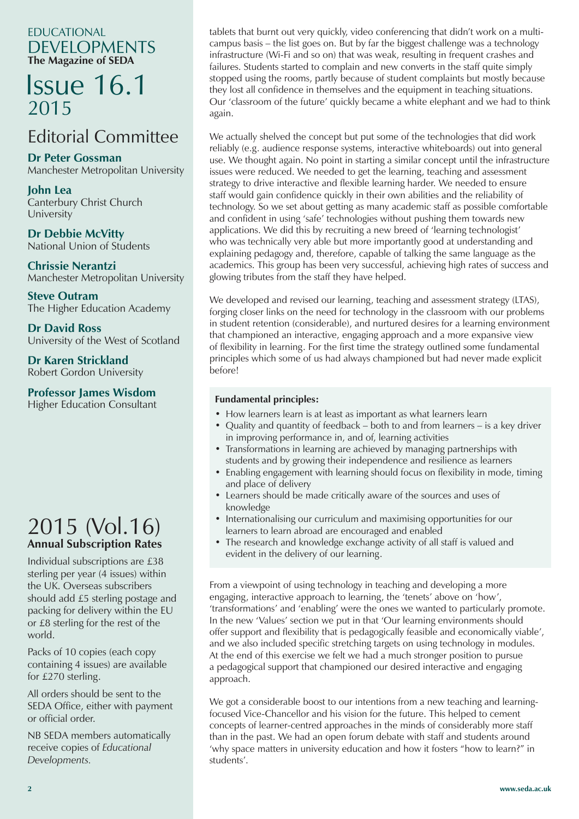EDUCATIONAL DEVELOPMENTS **The Magazine of SEDA**

### Issue 16.1 2015

### Editorial Committee

**Dr Peter Gossman**

Manchester Metropolitan University

**John Lea** Canterbury Christ Church University

**Dr Debbie McVitty** National Union of Students

**Chrissie Nerantzi** Manchester Metropolitan University

**Steve Outram** The Higher Education Academy

**Dr David Ross** University of the West of Scotland

**Dr Karen Strickland**

Robert Gordon University

#### **Professor James Wisdom**

Higher Education Consultant

### 2015 (Vol.16) **Annual Subscription Rates**

Individual subscriptions are £38 sterling per year (4 issues) within the UK. Overseas subscribers should add £5 sterling postage and packing for delivery within the EU or £8 sterling for the rest of the world.

Packs of 10 copies (each copy containing 4 issues) are available for £270 sterling.

All orders should be sent to the SEDA Office, either with payment or official order.

NB SEDA members automatically receive copies of *Educational Developments.*

tablets that burnt out very quickly, video conferencing that didn't work on a multicampus basis – the list goes on. But by far the biggest challenge was a technology infrastructure (Wi-Fi and so on) that was weak, resulting in frequent crashes and failures. Students started to complain and new converts in the staff quite simply stopped using the rooms, partly because of student complaints but mostly because they lost all confidence in themselves and the equipment in teaching situations. Our 'classroom of the future' quickly became a white elephant and we had to think again.

We actually shelved the concept but put some of the technologies that did work reliably (e.g. audience response systems, interactive whiteboards) out into general use. We thought again. No point in starting a similar concept until the infrastructure issues were reduced. We needed to get the learning, teaching and assessment strategy to drive interactive and flexible learning harder. We needed to ensure staff would gain confidence quickly in their own abilities and the reliability of technology. So we set about getting as many academic staff as possible comfortable and confident in using 'safe' technologies without pushing them towards new applications. We did this by recruiting a new breed of 'learning technologist' who was technically very able but more importantly good at understanding and explaining pedagogy and, therefore, capable of talking the same language as the academics. This group has been very successful, achieving high rates of success and glowing tributes from the staff they have helped.

We developed and revised our learning, teaching and assessment strategy (LTAS), forging closer links on the need for technology in the classroom with our problems in student retention (considerable), and nurtured desires for a learning environment that championed an interactive, engaging approach and a more expansive view of flexibility in learning. For the first time the strategy outlined some fundamental principles which some of us had always championed but had never made explicit before!

#### **Fundamental principles:**

- How learners learn is at least as important as what learners learn
- Quality and quantity of feedback both to and from learners is a key driver in improving performance in, and of, learning activities
- Transformations in learning are achieved by managing partnerships with students and by growing their independence and resilience as learners
- Enabling engagement with learning should focus on flexibility in mode, timing and place of delivery
- Learners should be made critically aware of the sources and uses of knowledge
- Internationalising our curriculum and maximising opportunities for our learners to learn abroad are encouraged and enabled
- The research and knowledge exchange activity of all staff is valued and evident in the delivery of our learning.

From a viewpoint of using technology in teaching and developing a more engaging, interactive approach to learning, the 'tenets' above on 'how', 'transformations' and 'enabling' were the ones we wanted to particularly promote. In the new 'Values' section we put in that 'Our learning environments should offer support and flexibility that is pedagogically feasible and economically viable', and we also included specific stretching targets on using technology in modules. At the end of this exercise we felt we had a much stronger position to pursue a pedagogical support that championed our desired interactive and engaging approach.

We got a considerable boost to our intentions from a new teaching and learningfocused Vice-Chancellor and his vision for the future. This helped to cement concepts of learner-centred approaches in the minds of considerably more staff than in the past. We had an open forum debate with staff and students around 'why space matters in university education and how it fosters "how to learn?" in students'.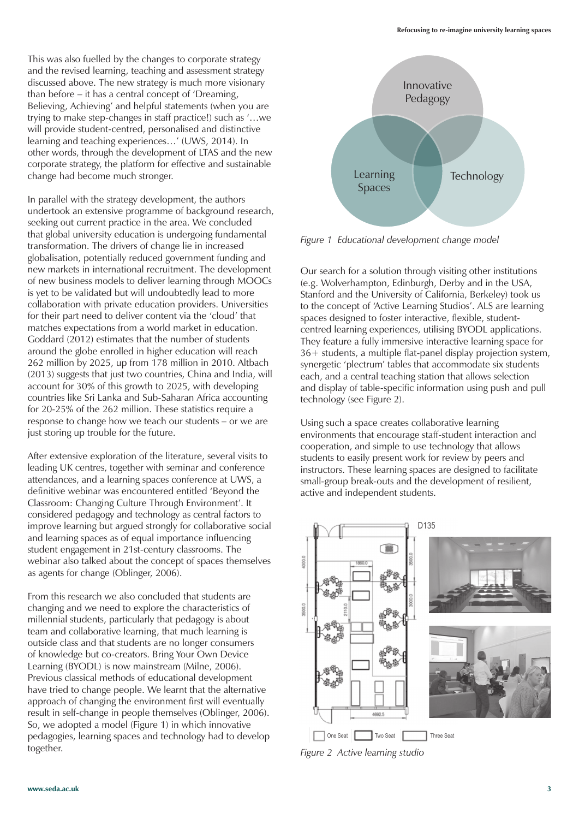This was also fuelled by the changes to corporate strategy and the revised learning, teaching and assessment strategy discussed above. The new strategy is much more visionary than before – it has a central concept of 'Dreaming, Believing, Achieving' and helpful statements (when you are trying to make step-changes in staff practice!) such as '…we will provide student-centred, personalised and distinctive learning and teaching experiences…' (UWS, 2014). In other words, through the development of LTAS and the new corporate strategy, the platform for effective and sustainable change had become much stronger.

In parallel with the strategy development, the authors undertook an extensive programme of background research, seeking out current practice in the area. We concluded that global university education is undergoing fundamental transformation. The drivers of change lie in increased globalisation, potentially reduced government funding and new markets in international recruitment. The development of new business models to deliver learning through MOOCs is yet to be validated but will undoubtedly lead to more collaboration with private education providers. Universities for their part need to deliver content via the 'cloud' that matches expectations from a world market in education. Goddard (2012) estimates that the number of students around the globe enrolled in higher education will reach 262 million by 2025, up from 178 million in 2010. Altbach (2013) suggests that just two countries, China and India, will account for 30% of this growth to 2025, with developing countries like Sri Lanka and Sub-Saharan Africa accounting for 20-25% of the 262 million. These statistics require a response to change how we teach our students – or we are just storing up trouble for the future.

After extensive exploration of the literature, several visits to leading UK centres, together with seminar and conference attendances, and a learning spaces conference at UWS, a definitive webinar was encountered entitled 'Beyond the Classroom: Changing Culture Through Environment'. It considered pedagogy and technology as central factors to improve learning but argued strongly for collaborative social and learning spaces as of equal importance influencing student engagement in 21st-century classrooms. The webinar also talked about the concept of spaces themselves as agents for change (Oblinger, 2006).

From this research we also concluded that students are changing and we need to explore the characteristics of millennial students, particularly that pedagogy is about team and collaborative learning, that much learning is outside class and that students are no longer consumers of knowledge but co-creators. Bring Your Own Device Learning (BYODL) is now mainstream (Milne, 2006). Previous classical methods of educational development have tried to change people. We learnt that the alternative approach of changing the environment first will eventually result in self-change in people themselves (Oblinger, 2006). So, we adopted a model (Figure 1) in which innovative pedagogies, learning spaces and technology had to develop together.



*Figure 1 Educational development change model*

Our search for a solution through visiting other institutions (e.g. Wolverhampton, Edinburgh, Derby and in the USA, Stanford and the University of California, Berkeley) took us to the concept of 'Active Learning Studios'. ALS are learning spaces designed to foster interactive, flexible, studentcentred learning experiences, utilising BYODL applications. They feature a fully immersive interactive learning space for 36+ students, a multiple flat-panel display projection system, synergetic 'plectrum' tables that accommodate six students each, and a central teaching station that allows selection and display of table-specific information using push and pull technology (see Figure 2).

Using such a space creates collaborative learning environments that encourage staff-student interaction and cooperation, and simple to use technology that allows students to easily present work for review by peers and instructors. These learning spaces are designed to facilitate small-group break-outs and the development of resilient, active and independent students.



*Figure 2 Active learning studio*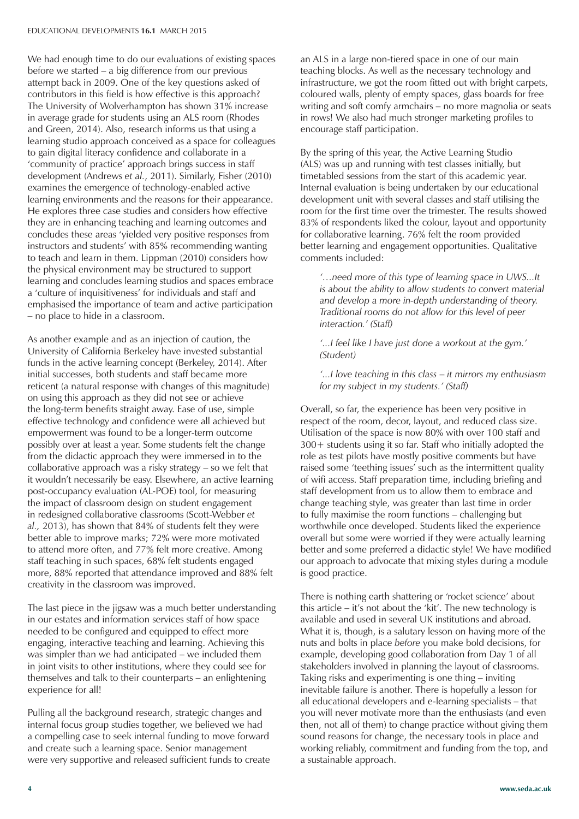We had enough time to do our evaluations of existing spaces before we started – a big difference from our previous attempt back in 2009. One of the key questions asked of contributors in this field is how effective is this approach? The University of Wolverhampton has shown 31% increase in average grade for students using an ALS room (Rhodes and Green, 2014). Also, research informs us that using a learning studio approach conceived as a space for colleagues to gain digital literacy confidence and collaborate in a 'community of practice' approach brings success in staff development (Andrews *et al.*, 2011). Similarly, Fisher (2010) examines the emergence of technology-enabled active learning environments and the reasons for their appearance. He explores three case studies and considers how effective they are in enhancing teaching and learning outcomes and concludes these areas 'yielded very positive responses from instructors and students' with 85% recommending wanting to teach and learn in them. Lippman (2010) considers how the physical environment may be structured to support learning and concludes learning studios and spaces embrace a 'culture of inquisitiveness' for individuals and staff and emphasised the importance of team and active participation – no place to hide in a classroom.

As another example and as an injection of caution, the University of California Berkeley have invested substantial funds in the active learning concept (Berkeley, 2014). After initial successes, both students and staff became more reticent (a natural response with changes of this magnitude) on using this approach as they did not see or achieve the long-term benefits straight away. Ease of use, simple effective technology and confidence were all achieved but empowerment was found to be a longer-term outcome possibly over at least a year. Some students felt the change from the didactic approach they were immersed in to the collaborative approach was a risky strategy – so we felt that it wouldn't necessarily be easy. Elsewhere, an active learning post-occupancy evaluation (AL-POE) tool, for measuring the impact of classroom design on student engagement in redesigned collaborative classrooms (Scott-Webber *et al.,* 2013), has shown that 84% of students felt they were better able to improve marks; 72% were more motivated to attend more often, and 77% felt more creative. Among staff teaching in such spaces, 68% felt students engaged more, 88% reported that attendance improved and 88% felt creativity in the classroom was improved.

The last piece in the jigsaw was a much better understanding in our estates and information services staff of how space needed to be configured and equipped to effect more engaging, interactive teaching and learning. Achieving this was simpler than we had anticipated – we included them in joint visits to other institutions, where they could see for themselves and talk to their counterparts – an enlightening experience for all!

Pulling all the background research, strategic changes and internal focus group studies together, we believed we had a compelling case to seek internal funding to move forward and create such a learning space. Senior management were very supportive and released sufficient funds to create an ALS in a large non-tiered space in one of our main teaching blocks. As well as the necessary technology and infrastructure, we got the room fitted out with bright carpets, coloured walls, plenty of empty spaces, glass boards for free writing and soft comfy armchairs – no more magnolia or seats in rows! We also had much stronger marketing profiles to encourage staff participation.

By the spring of this year, the Active Learning Studio (ALS) was up and running with test classes initially, but timetabled sessions from the start of this academic year. Internal evaluation is being undertaken by our educational development unit with several classes and staff utilising the room for the first time over the trimester. The results showed 83% of respondents liked the colour, layout and opportunity for collaborative learning. 76% felt the room provided better learning and engagement opportunities. Qualitative comments included:

*'…need more of this type of learning space in UWS...It is about the ability to allow students to convert material and develop a more in-depth understanding of theory. Traditional rooms do not allow for this level of peer interaction.' (Staff)*

*'...I feel like I have just done a workout at the gym.' (Student)*

*'...I love teaching in this class* – *it mirrors my enthusiasm for my subject in my students.' (Staff)*

Overall, so far, the experience has been very positive in respect of the room, decor, layout, and reduced class size. Utilisation of the space is now 80% with over 100 staff and 300+ students using it so far. Staff who initially adopted the role as test pilots have mostly positive comments but have raised some 'teething issues' such as the intermittent quality of wifi access. Staff preparation time, including briefing and staff development from us to allow them to embrace and change teaching style, was greater than last time in order to fully maximise the room functions – challenging but worthwhile once developed. Students liked the experience overall but some were worried if they were actually learning better and some preferred a didactic style! We have modified our approach to advocate that mixing styles during a module is good practice.

There is nothing earth shattering or 'rocket science' about this article – it's not about the 'kit'. The new technology is available and used in several UK institutions and abroad. What it is, though, is a salutary lesson on having more of the nuts and bolts in place *before* you make bold decisions, for example, developing good collaboration from Day 1 of all stakeholders involved in planning the layout of classrooms. Taking risks and experimenting is one thing – inviting inevitable failure is another. There is hopefully a lesson for all educational developers and e-learning specialists – that you will never motivate more than the enthusiasts (and even then, not all of them) to change practice without giving them sound reasons for change, the necessary tools in place and working reliably, commitment and funding from the top, and a sustainable approach.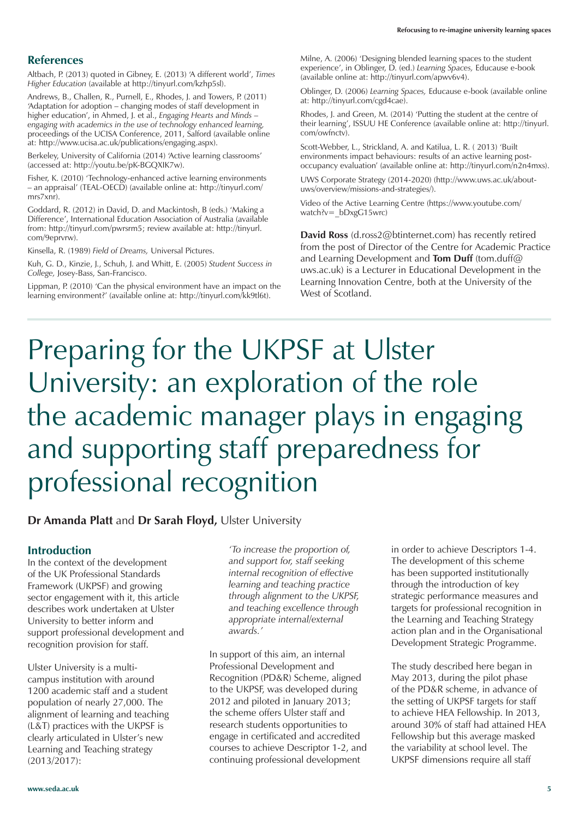#### **References**

Altbach, P. (2013) quoted in Gibney, E. (2013) 'A different world', *Times Higher Education* (available at http://tinyurl.com/kzhp5sl).

Andrews, B., Challen, R., Purnell, E., Rhodes, J. and Towers, P. (2011) 'Adaptation for adoption – changing modes of staff development in higher education', in Ahmed, J. et al., *Engaging Hearts and Minds – engaging with academics in the use of technology enhanced learning,* proceedings of the UCISA Conference, 2011, Salford (available online at: http://www.ucisa.ac.uk/publications/engaging.aspx).

Berkeley, University of California (2014) 'Active learning classrooms' (accessed at: http://youtu.be/pK-BGQXIK7w).

Fisher, K. (2010) 'Technology-enhanced active learning environments – an appraisal' (TEAL-OECD) (available online at: http://tinyurl.com/ mrs7xnr).

Goddard, R. (2012) in David, D. and Mackintosh, B (eds.) 'Making a Difference', International Education Association of Australia (available from: http://tinyurl.com/pwrsrm5; review available at: http://tinyurl. com/9eprvrw).

Kinsella, R. (1989) *Field of Dreams,* Universal Pictures.

Kuh, G. D., Kinzie, J., Schuh, J. and Whitt, E. (2005) *Student Success in College,* Josey-Bass, San-Francisco.

Lippman, P. (2010) 'Can the physical environment have an impact on the learning environment?' (available online at: http://tinyurl.com/kk9tl6t).

Milne, A. (2006) 'Designing blended learning spaces to the student experience', in Oblinger, D. (ed.) *Learning Spaces,* Educause e-book (available online at: http://tinyurl.com/apwv6v4).

Oblinger, D. (2006) *Learning Spaces,* Educause e-book (available online at: http://tinyurl.com/cgd4cae).

Rhodes, J. and Green, M. (2014) 'Putting the student at the centre of their learning', ISSUU HE Conference (available online at: http://tinyurl. com/owfnctv).

Scott-Webber, L., Strickland, A. and Katilua, L. R. ( 2013) 'Built environments impact behaviours: results of an active learning postoccupancy evaluation' (available online at: http://tinyurl.com/n2n4mxs).

UWS Corporate Strategy (2014-2020) (http://www.uws.ac.uk/aboutuws/overview/missions-and-strategies/).

Video of the Active Learning Centre (https://www.youtube.com/ watch?v= bDxgG15wrc)

**David Ross** (d.ross2@btinternet.com) has recently retired from the post of Director of the Centre for Academic Practice and Learning Development and **Tom Duff** (tom.duff@ uws.ac.uk) is a Lecturer in Educational Development in the Learning Innovation Centre, both at the University of the West of Scotland.

## Preparing for the UKPSF at Ulster University: an exploration of the role the academic manager plays in engaging and supporting staff preparedness for professional recognition

#### **Dr Amanda Platt** and **Dr Sarah Floyd,** Ulster University

#### **Introduction**

In the context of the development of the UK Professional Standards Framework (UKPSF) and growing sector engagement with it, this article describes work undertaken at Ulster University to better inform and support professional development and recognition provision for staff.

Ulster University is a multicampus institution with around 1200 academic staff and a student population of nearly 27,000. The alignment of learning and teaching (L&T) practices with the UKPSF is clearly articulated in Ulster's new Learning and Teaching strategy (2013/2017):

*'To increase the proportion of, and support for, staff seeking internal recognition of effective learning and teaching practice through alignment to the UKPSF, and teaching excellence through appropriate internal/external awards.'*

In support of this aim, an internal Professional Development and Recognition (PD&R) Scheme, aligned to the UKPSF, was developed during 2012 and piloted in January 2013; the scheme offers Ulster staff and research students opportunities to engage in certificated and accredited courses to achieve Descriptor 1-2, and continuing professional development

in order to achieve Descriptors 1-4. The development of this scheme has been supported institutionally through the introduction of key strategic performance measures and targets for professional recognition in the Learning and Teaching Strategy action plan and in the Organisational Development Strategic Programme.

The study described here began in May 2013, during the pilot phase of the PD&R scheme, in advance of the setting of UKPSF targets for staff to achieve HEA Fellowship. In 2013, around 30% of staff had attained HEA Fellowship but this average masked the variability at school level. The UKPSF dimensions require all staff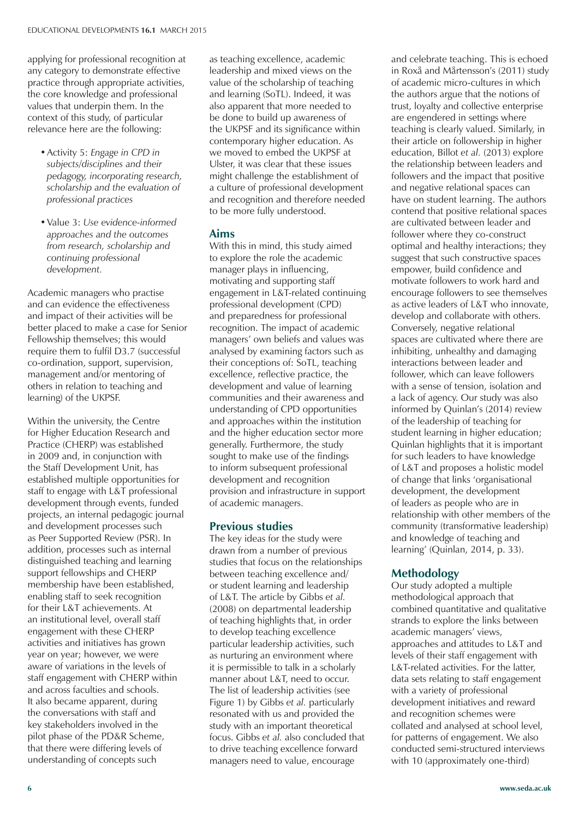applying for professional recognition at any category to demonstrate effective practice through appropriate activities, the core knowledge and professional values that underpin them. In the context of this study, of particular relevance here are the following:

- • Activity 5: *Engage in CPD in subjects/disciplines and their pedagogy, incorporating research, scholarship and the evaluation of professional practices*
- • Value 3: *Use evidence-informed approaches and the outcomes from research, scholarship and continuing professional development.*

Academic managers who practise and can evidence the effectiveness and impact of their activities will be better placed to make a case for Senior Fellowship themselves; this would require them to fulfil D3.7 (successful co-ordination, support, supervision, management and/or mentoring of others in relation to teaching and learning) of the UKPSF.

Within the university, the Centre for Higher Education Research and Practice (CHERP) was established in 2009 and, in conjunction with the Staff Development Unit, has established multiple opportunities for staff to engage with L&T professional development through events, funded projects, an internal pedagogic journal and development processes such as Peer Supported Review (PSR). In addition, processes such as internal distinguished teaching and learning support fellowships and CHERP membership have been established, enabling staff to seek recognition for their L&T achievements. At an institutional level, overall staff engagement with these CHERP activities and initiatives has grown year on year; however, we were aware of variations in the levels of staff engagement with CHERP within and across faculties and schools. It also became apparent, during the conversations with staff and key stakeholders involved in the pilot phase of the PD&R Scheme, that there were differing levels of understanding of concepts such

as teaching excellence, academic leadership and mixed views on the value of the scholarship of teaching and learning (SoTL). Indeed, it was also apparent that more needed to be done to build up awareness of the UKPSF and its significance within contemporary higher education. As we moved to embed the UKPSF at Ulster, it was clear that these issues might challenge the establishment of a culture of professional development and recognition and therefore needed to be more fully understood.

#### **Aims**

With this in mind, this study aimed to explore the role the academic manager plays in influencing, motivating and supporting staff engagement in L&T-related continuing professional development (CPD) and preparedness for professional recognition. The impact of academic managers' own beliefs and values was analysed by examining factors such as their conceptions of: SoTL, teaching excellence, reflective practice, the development and value of learning communities and their awareness and understanding of CPD opportunities and approaches within the institution and the higher education sector more generally. Furthermore, the study sought to make use of the findings to inform subsequent professional development and recognition provision and infrastructure in support of academic managers.

#### **Previous studies**

The key ideas for the study were drawn from a number of previous studies that focus on the relationships between teaching excellence and/ or student learning and leadership of L&T. The article by Gibbs *et al.*  (2008) on departmental leadership of teaching highlights that, in order to develop teaching excellence particular leadership activities, such as nurturing an environment where it is permissible to talk in a scholarly manner about L&T, need to occur. The list of leadership activities (see Figure 1) by Gibbs *et al.* particularly resonated with us and provided the study with an important theoretical focus. Gibbs *et al.* also concluded that to drive teaching excellence forward managers need to value, encourage

and celebrate teaching. This is echoed in Roxå and Mårtensson's (2011) study of academic micro-cultures in which the authors argue that the notions of trust, loyalty and collective enterprise are engendered in settings where teaching is clearly valued. Similarly, in their article on followership in higher education, Billot *et al.* (2013) explore the relationship between leaders and followers and the impact that positive and negative relational spaces can have on student learning. The authors contend that positive relational spaces are cultivated between leader and follower where they co-construct optimal and healthy interactions; they suggest that such constructive spaces empower, build confidence and motivate followers to work hard and encourage followers to see themselves as active leaders of L&T who innovate, develop and collaborate with others. Conversely, negative relational spaces are cultivated where there are inhibiting, unhealthy and damaging interactions between leader and follower, which can leave followers with a sense of tension, isolation and a lack of agency. Our study was also informed by Quinlan's (2014) review of the leadership of teaching for student learning in higher education; Quinlan highlights that it is important for such leaders to have knowledge of L&T and proposes a holistic model of change that links 'organisational development, the development of leaders as people who are in relationship with other members of the community (transformative leadership) and knowledge of teaching and learning' (Quinlan, 2014, p. 33).

#### **Methodology**

Our study adopted a multiple methodological approach that combined quantitative and qualitative strands to explore the links between academic managers' views, approaches and attitudes to L&T and levels of their staff engagement with L&T-related activities. For the latter, data sets relating to staff engagement with a variety of professional development initiatives and reward and recognition schemes were collated and analysed at school level, for patterns of engagement. We also conducted semi-structured interviews with 10 (approximately one-third)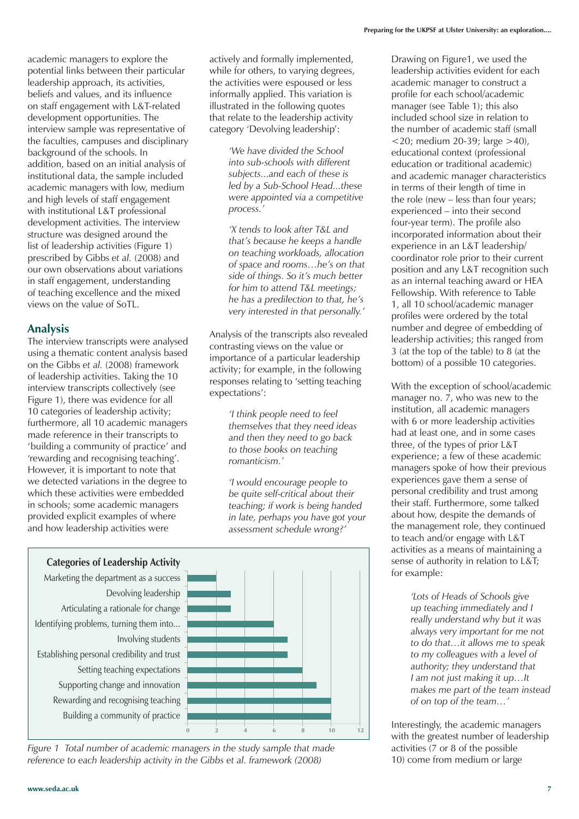academic managers to explore the potential links between their particular leadership approach, its activities, beliefs and values, and its influence on staff engagement with L&T-related development opportunities. The interview sample was representative of the faculties, campuses and disciplinary background of the schools. In addition, based on an initial analysis of institutional data, the sample included academic managers with low, medium and high levels of staff engagement with institutional L&T professional development activities. The interview structure was designed around the list of leadership activities (Figure 1) prescribed by Gibbs *et al.* (2008) and our own observations about variations in staff engagement, understanding of teaching excellence and the mixed views on the value of SoTL.

#### **Analysis**

The interview transcripts were analysed using a thematic content analysis based on the Gibbs *et al.* (2008) framework of leadership activities. Taking the 10 interview transcripts collectively (see Figure 1), there was evidence for all 10 categories of leadership activity; furthermore, all 10 academic managers made reference in their transcripts to 'building a community of practice' and 'rewarding and recognising teaching'. However, it is important to note that we detected variations in the degree to which these activities were embedded in schools; some academic managers provided explicit examples of where and how leadership activities were

actively and formally implemented, while for others, to varying degrees. the activities were espoused or less informally applied. This variation is illustrated in the following quotes that relate to the leadership activity category 'Devolving leadership':

> *'We have divided the School into sub-schools with different subjects...and each of these is led by a Sub-School Head...these were appointed via a competitive process.'*

*'X tends to look after T&L and that's because he keeps a handle on teaching workloads, allocation of space and rooms…he's on that side of things. So it's much better for him to attend T&L meetings; he has a predilection to that, he's very interested in that personally.'*

Analysis of the transcripts also revealed contrasting views on the value or importance of a particular leadership activity; for example, in the following responses relating to 'setting teaching expectations':

> *'I think people need to feel themselves that they need ideas and then they need to go back to those books on teaching romanticism.'*

*'I would encourage people to be quite self-critical about their teaching; if work is being handed in late, perhaps you have got your assessment schedule wrong?'*





*Figure 1 Total number of academic managers in the study sample that made reference to each leadership activity in the Gibbs et al. framework (2008)*

Drawing on Figure1, we used the leadership activities evident for each academic manager to construct a profile for each school/academic manager (see Table 1); this also included school size in relation to the number of academic staff (small  $<$ 20; medium 20-39; large  $>$ 40), educational context (professional education or traditional academic) and academic manager characteristics in terms of their length of time in the role (new – less than four years; experienced – into their second four-year term). The profile also incorporated information about their experience in an L&T leadership/ coordinator role prior to their current position and any L&T recognition such as an internal teaching award or HEA Fellowship. With reference to Table 1, all 10 school/academic manager profiles were ordered by the total number and degree of embedding of leadership activities; this ranged from 3 (at the top of the table) to 8 (at the bottom) of a possible 10 categories.

With the exception of school/academic manager no. 7, who was new to the institution, all academic managers with 6 or more leadership activities had at least one, and in some cases three, of the types of prior L&T experience; a few of these academic managers spoke of how their previous experiences gave them a sense of personal credibility and trust among their staff. Furthermore, some talked about how, despite the demands of the management role, they continued to teach and/or engage with L&T activities as a means of maintaining a sense of authority in relation to L&T; for example:

> *'Lots of Heads of Schools give up teaching immediately and I really understand why but it was always very important for me not to do that…it allows me to speak to my colleagues with a level of authority; they understand that I am not just making it up…It makes me part of the team instead of on top of the team…'*

Interestingly, the academic managers with the greatest number of leadership activities (7 or 8 of the possible 10) come from medium or large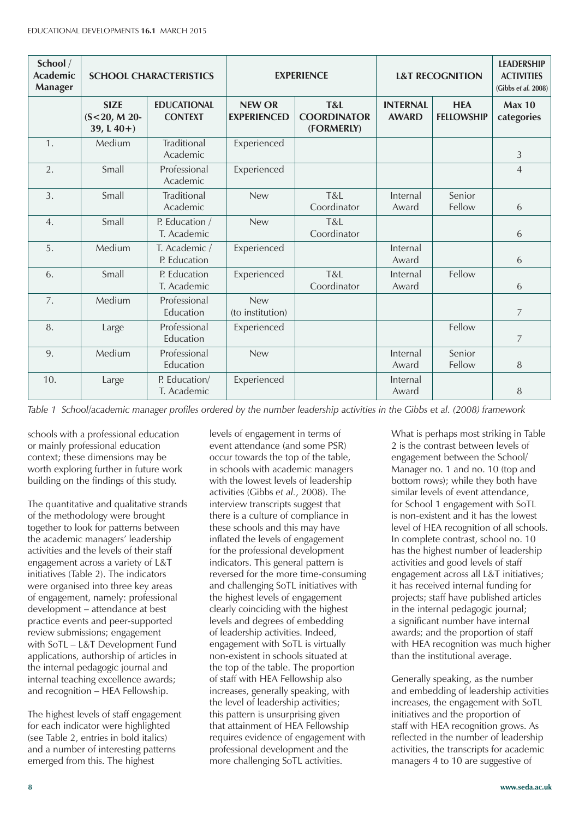| School /<br><b>Academic</b><br><b>Manager</b> | <b>SCHOOL CHARACTERISTICS</b>                 |                                      |                                     | <b>EXPERIENCE</b>                       | <b>L&amp;T RECOGNITION</b>      | <b>LEADERSHIP</b><br><b>ACTIVITIES</b><br>(Gibbs et al. 2008) |                             |
|-----------------------------------------------|-----------------------------------------------|--------------------------------------|-------------------------------------|-----------------------------------------|---------------------------------|---------------------------------------------------------------|-----------------------------|
|                                               | <b>SIZE</b><br>$(S<20, M 20-$<br>39, $L(40+)$ | <b>EDUCATIONAL</b><br><b>CONTEXT</b> | <b>NEW OR</b><br><b>EXPERIENCED</b> | T&L<br><b>COORDINATOR</b><br>(FORMERLY) | <b>INTERNAL</b><br><b>AWARD</b> | <b>HEA</b><br><b>FELLOWSHIP</b>                               | <b>Max 10</b><br>categories |
| $\mathbf{1}$ .                                | Medium                                        | Traditional<br>Academic              | Experienced                         |                                         |                                 |                                                               | 3                           |
| 2.                                            | Small                                         | Professional<br>Academic             | Experienced                         |                                         |                                 |                                                               | $\overline{4}$              |
| 3.                                            | Small                                         | <b>Traditional</b><br>Academic       | <b>New</b>                          | T&L<br>Coordinator                      | Internal<br>Award               | Senior<br>Fellow                                              | 6                           |
| 4.                                            | Small                                         | P. Education /<br>T. Academic        | <b>New</b>                          | T&L<br>Coordinator                      |                                 |                                                               | 6                           |
| 5.                                            | Medium                                        | T. Academic /<br>P. Education        | Experienced                         |                                         | Internal<br>Award               |                                                               | 6                           |
| 6.                                            | Small                                         | P. Education<br>T. Academic          | Experienced                         | T&L<br>Coordinator                      | Internal<br>Award               | Fellow                                                        | 6                           |
| 7.                                            | Medium                                        | Professional<br>Education            | <b>New</b><br>(to institution)      |                                         |                                 |                                                               | $\overline{7}$              |
| 8.                                            | Large                                         | Professional<br>Education            | Experienced                         |                                         |                                 | Fellow                                                        | $\overline{7}$              |
| 9.                                            | Medium                                        | Professional<br>Education            | <b>New</b>                          |                                         | Internal<br>Award               | Senior<br>Fellow                                              | 8                           |
| 10.                                           | Large                                         | P. Education/<br>T. Academic         | Experienced                         |                                         | Internal<br>Award               |                                                               | 8                           |

*Table 1 School/academic manager profiles ordered by the number leadership activities in the Gibbs et al. (2008) framework*

schools with a professional education or mainly professional education context; these dimensions may be worth exploring further in future work building on the findings of this study.

The quantitative and qualitative strands of the methodology were brought together to look for patterns between the academic managers' leadership activities and the levels of their staff engagement across a variety of L&T initiatives (Table 2). The indicators were organised into three key areas of engagement, namely: professional development – attendance at best practice events and peer-supported review submissions; engagement with SoTL – L&T Development Fund applications, authorship of articles in the internal pedagogic journal and internal teaching excellence awards; and recognition – HEA Fellowship.

The highest levels of staff engagement for each indicator were highlighted (see Table 2, entries in bold italics) and a number of interesting patterns emerged from this. The highest

levels of engagement in terms of event attendance (and some PSR) occur towards the top of the table, in schools with academic managers with the lowest levels of leadership activities (Gibbs *et al.*, 2008). The interview transcripts suggest that there is a culture of compliance in these schools and this may have inflated the levels of engagement for the professional development indicators. This general pattern is reversed for the more time-consuming and challenging SoTL initiatives with the highest levels of engagement clearly coinciding with the highest levels and degrees of embedding of leadership activities. Indeed, engagement with SoTL is virtually non-existent in schools situated at the top of the table. The proportion of staff with HEA Fellowship also increases, generally speaking, with the level of leadership activities; this pattern is unsurprising given that attainment of HEA Fellowship requires evidence of engagement with professional development and the more challenging SoTL activities.

What is perhaps most striking in Table 2 is the contrast between levels of engagement between the School/ Manager no. 1 and no. 10 (top and bottom rows); while they both have similar levels of event attendance, for School 1 engagement with SoTL is non-existent and it has the lowest level of HEA recognition of all schools. In complete contrast, school no. 10 has the highest number of leadership activities and good levels of staff engagement across all L&T initiatives; it has received internal funding for projects; staff have published articles in the internal pedagogic journal; a significant number have internal awards; and the proportion of staff with HEA recognition was much higher than the institutional average.

Generally speaking, as the number and embedding of leadership activities increases, the engagement with SoTL initiatives and the proportion of staff with HEA recognition grows. As reflected in the number of leadership activities, the transcripts for academic managers 4 to 10 are suggestive of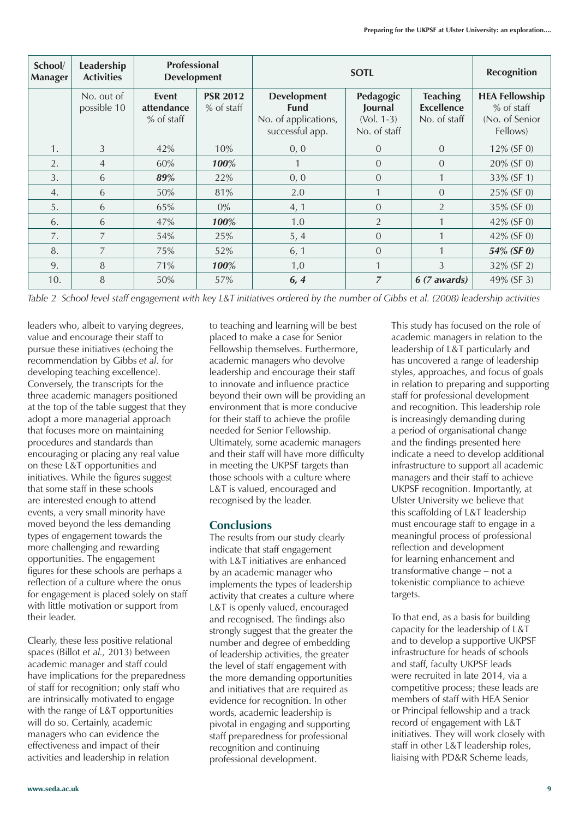| School/<br><b>Manager</b> | Leadership<br><b>Activities</b> | <b>Professional</b><br><b>Development</b> |                                 |                                                                              | Recognition                                          |                                                      |                                                                     |
|---------------------------|---------------------------------|-------------------------------------------|---------------------------------|------------------------------------------------------------------------------|------------------------------------------------------|------------------------------------------------------|---------------------------------------------------------------------|
|                           | No. out of<br>possible 10       | Event<br>attendance<br>$%$ of staff       | <b>PSR 2012</b><br>$%$ of staff | <b>Development</b><br><b>Fund</b><br>No. of applications,<br>successful app. | Pedagogic<br>Journal<br>$(Vol. 1-3)$<br>No. of staff | <b>Teaching</b><br><b>Excellence</b><br>No. of staff | <b>HEA Fellowship</b><br>$%$ of staff<br>(No. of Senior<br>Fellows) |
| 1.                        | 3                               | 42%                                       | 10%                             | 0, 0                                                                         | $\Omega$                                             | $\Omega$                                             | 12% (SF 0)                                                          |
| 2.                        | $\overline{4}$                  | 60%                                       | 100%                            |                                                                              | $\overline{0}$                                       | $\Omega$                                             | 20% (SF 0)                                                          |
| 3.                        | 6                               | 89%                                       | 22%                             | 0, 0                                                                         | $\overline{0}$                                       |                                                      | 33% (SF 1)                                                          |
| 4.                        | 6                               | 50%                                       | 81%                             | 2.0                                                                          | 1                                                    | $\Omega$                                             | 25% (SF 0)                                                          |
| 5.                        | 6                               | 65%                                       | $0\%$                           | 4, 1                                                                         | $\overline{0}$                                       | $\overline{2}$                                       | 35% (SF 0)                                                          |
| 6.                        | 6                               | 47%                                       | 100%                            | 1.0                                                                          | $\overline{2}$                                       |                                                      | 42% (SF 0)                                                          |
| 7.                        | $\overline{7}$                  | 54%                                       | 25%                             | 5, 4                                                                         | $\Omega$                                             |                                                      | 42% (SF 0)                                                          |
| 8.                        | $\overline{7}$                  | 75%                                       | 52%                             | 6, 1                                                                         | $\overline{0}$                                       |                                                      | 54% (SF 0)                                                          |
| 9.                        | 8                               | 71%                                       | 100%                            | 1,0                                                                          | 1                                                    | 3                                                    | 32% (SF 2)                                                          |
| 10.                       | 8                               | 50%                                       | 57%                             | 6, 4                                                                         | $\overline{z}$                                       | 6 (7 awards)                                         | 49% (SF 3)                                                          |

*Table 2 School level staff engagement with key L&T initiatives ordered by the number of Gibbs et al. (2008) leadership activities*

leaders who, albeit to varying degrees, value and encourage their staff to pursue these initiatives (echoing the recommendation by Gibbs *et al.* for developing teaching excellence). Conversely, the transcripts for the three academic managers positioned at the top of the table suggest that they adopt a more managerial approach that focuses more on maintaining procedures and standards than encouraging or placing any real value on these L&T opportunities and initiatives. While the figures suggest that some staff in these schools are interested enough to attend events, a very small minority have moved beyond the less demanding types of engagement towards the more challenging and rewarding opportunities. The engagement figures for these schools are perhaps a reflection of a culture where the onus for engagement is placed solely on staff with little motivation or support from their leader.

Clearly, these less positive relational spaces (Billot *et al.,* 2013) between academic manager and staff could have implications for the preparedness of staff for recognition; only staff who are intrinsically motivated to engage with the range of L&T opportunities will do so. Certainly, academic managers who can evidence the effectiveness and impact of their activities and leadership in relation

to teaching and learning will be best placed to make a case for Senior Fellowship themselves. Furthermore, academic managers who devolve leadership and encourage their staff to innovate and influence practice beyond their own will be providing an environment that is more conducive for their staff to achieve the profile needed for Senior Fellowship. Ultimately, some academic managers and their staff will have more difficulty in meeting the UKPSF targets than those schools with a culture where L&T is valued, encouraged and recognised by the leader.

#### **Conclusions**

The results from our study clearly indicate that staff engagement with L&T initiatives are enhanced by an academic manager who implements the types of leadership activity that creates a culture where L&T is openly valued, encouraged and recognised. The findings also strongly suggest that the greater the number and degree of embedding of leadership activities, the greater the level of staff engagement with the more demanding opportunities and initiatives that are required as evidence for recognition. In other words, academic leadership is pivotal in engaging and supporting staff preparedness for professional recognition and continuing professional development.

This study has focused on the role of academic managers in relation to the leadership of L&T particularly and has uncovered a range of leadership styles, approaches, and focus of goals in relation to preparing and supporting staff for professional development and recognition. This leadership role is increasingly demanding during a period of organisational change and the findings presented here indicate a need to develop additional infrastructure to support all academic managers and their staff to achieve UKPSF recognition. Importantly, at Ulster University we believe that this scaffolding of L&T leadership must encourage staff to engage in a meaningful process of professional reflection and development for learning enhancement and transformative change – not a tokenistic compliance to achieve targets.

To that end, as a basis for building capacity for the leadership of L&T and to develop a supportive UKPSF infrastructure for heads of schools and staff, faculty UKPSF leads were recruited in late 2014, via a competitive process; these leads are members of staff with HEA Senior or Principal fellowship and a track record of engagement with L&T initiatives. They will work closely with staff in other L&T leadership roles, liaising with PD&R Scheme leads,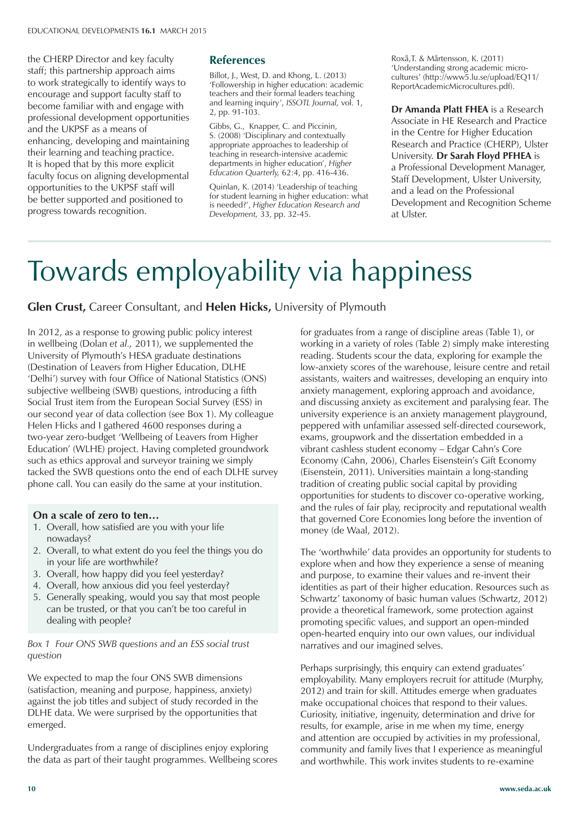the CHERP Director and key faculty staff; this partnership approach aims to work strategically to identify ways to encourage and support faculty staff to become familiar with and engage with professional development opportunities and the UKPSF as a means of enhancing, developing and maintaining their learning and teaching practice. It is hoped that by this more explicit faculty focus on aligning developmental opportunities to the UKPSF staff will be better supported and positioned to progress towards recognition.

#### **References**

Billot, J., West, D. and Khong, L. (2013) 'Followership in higher education: academic teachers and their formal leaders teaching and learning inquiry', *ISSOTL Journal,* vol. 1, 2, pp. 91-103.

Gibbs, G., Knapper, C. and Piccinin, S. (2008) 'Disciplinary and contextually appropriate approaches to leadership of teaching in research-intensive academic departments in higher education', *Higher Education Quarterly,* 62:4, pp. 416-436.

Quinlan, K. (2014) 'Leadership of teaching for student learning in higher education: what is needed?', *Higher Education Research and Development,* 33, pp. 32-45.

Roxå,T. & Mårtensson, K. (2011) 'Understanding strong academic microcultures' (http://www5.lu.se/upload/EQ11/ ReportAcademicMicrocultures.pdf).

**Dr Amanda Platt FHEA** is a Research Associate in HE Research and Practice in the Centre for Higher Education Research and Practice (CHERP), Ulster University. **Dr Sarah Floyd PFHEA** is a Professional Development Manager, Staff Development, Ulster University, and a lead on the Professional Development and Recognition Scheme at Ulster.

# Towards employability via happiness

#### **Glen Crust,** Career Consultant, and **Helen Hicks,** University of Plymouth

In 2012, as a response to growing public policy interest in wellbeing (Dolan *et al.,* 2011), we supplemented the University of Plymouth's HESA graduate destinations (Destination of Leavers from Higher Education, DLHE 'Delhi') survey with four Office of National Statistics (ONS) subjective wellbeing (SWB) questions, introducing a fifth Social Trust item from the European Social Survey (ESS) in our second year of data collection (see Box 1). My colleague Helen Hicks and I gathered 4600 responses during a two-year zero-budget 'Wellbeing of Leavers from Higher Education' (WLHE) project. Having completed groundwork such as ethics approval and surveyor training we simply tacked the SWB questions onto the end of each DLHE survey phone call. You can easily do the same at your institution.

#### **On a scale of zero to ten…**

- 1. Overall, how satisfied are you with your life nowadays?
- 2. Overall, to what extent do you feel the things you do in your life are worthwhile?
- 3. Overall, how happy did you feel yesterday?
- 4. Overall, how anxious did you feel yesterday?
- 5. Generally speaking, would you say that most people can be trusted, or that you can't be too careful in dealing with people?

#### *Box 1 Four ONS SWB questions and an ESS social trust question*

We expected to map the four ONS SWB dimensions (satisfaction, meaning and purpose, happiness, anxiety) against the job titles and subject of study recorded in the DLHE data. We were surprised by the opportunities that emerged.

Undergraduates from a range of disciplines enjoy exploring the data as part of their taught programmes. Wellbeing scores

for graduates from a range of discipline areas (Table 1), or working in a variety of roles (Table 2) simply make interesting reading. Students scour the data, exploring for example the low-anxiety scores of the warehouse, leisure centre and retail assistants, waiters and waitresses, developing an enquiry into anxiety management, exploring approach and avoidance, and discussing anxiety as excitement and paralysing fear. The university experience is an anxiety management playground, peppered with unfamiliar assessed self-directed coursework, exams, groupwork and the dissertation embedded in a vibrant cashless student economy – Edgar Cahn's Core Economy (Cahn, 2006), Charles Eisenstein's Gift Economy (Eisenstein, 2011). Universities maintain a long-standing tradition of creating public social capital by providing opportunities for students to discover co-operative working, and the rules of fair play, reciprocity and reputational wealth that governed Core Economies long before the invention of money (de Waal, 2012).

The 'worthwhile' data provides an opportunity for students to explore when and how they experience a sense of meaning and purpose, to examine their values and re-invent their identities as part of their higher education. Resources such as Schwartz' taxonomy of basic human values (Schwartz, 2012) provide a theoretical framework, some protection against promoting specific values, and support an open-minded open-hearted enquiry into our own values, our individual narratives and our imagined selves.

Perhaps surprisingly, this enquiry can extend graduates' employability. Many employers recruit for attitude (Murphy, 2012) and train for skill. Attitudes emerge when graduates make occupational choices that respond to their values. Curiosity, initiative, ingenuity, determination and drive for results, for example, arise in me when my time, energy and attention are occupied by activities in my professional, community and family lives that I experience as meaningful and worthwhile. This work invites students to re-examine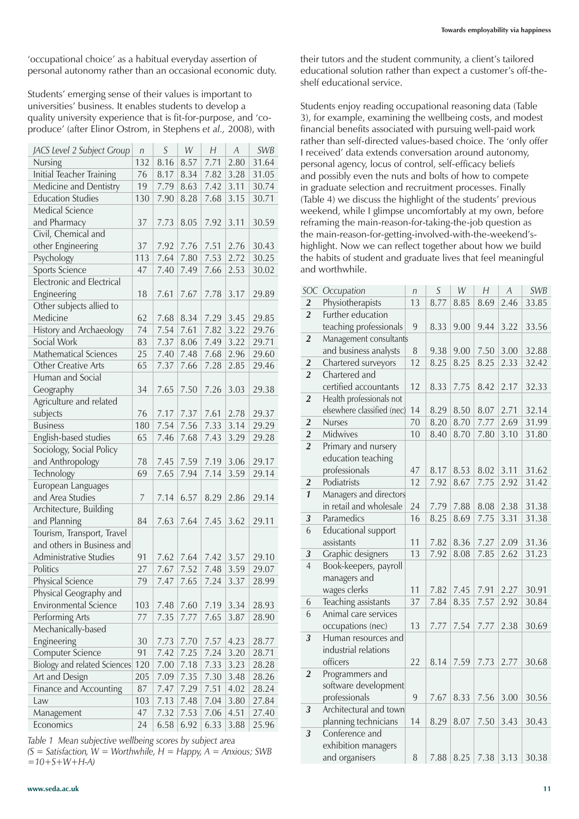'occupational choice' as a habitual everyday assertion of personal autonomy rather than an occasional economic duty.

Students' emerging sense of their values is important to universities' business. It enables students to develop a quality university experience that is fit-for-purpose, and 'coproduce' (after Elinor Ostrom, in Stephens *et al.,* 2008), with

| JACS Level 2 Subject Group       | n   | S    | W    | H    | $\overline{A}$ | <b>SWB</b> |
|----------------------------------|-----|------|------|------|----------------|------------|
| Nursing                          | 132 | 8.16 | 8.57 | 7.71 | 2.80           | 31.64      |
| <b>Initial Teacher Training</b>  | 76  | 8.17 | 8.34 | 7.82 | 3.28           | 31.05      |
| Medicine and Dentistry           | 19  | 7.79 | 8.63 | 7.42 | 3.11           | 30.74      |
| <b>Education Studies</b>         | 130 | 7.90 | 8.28 | 7.68 | 3.15           | 30.71      |
| <b>Medical Science</b>           |     |      |      |      |                |            |
| and Pharmacy                     | 37  | 7.73 | 8.05 | 7.92 | 3.11           | 30.59      |
| Civil, Chemical and              |     |      |      |      |                |            |
| other Engineering                | 37  | 7.92 | 7.76 | 7.51 | 2.76           | 30.43      |
| Psychology                       | 113 | 7.64 | 7.80 | 7.53 | 2.72           | 30.25      |
| <b>Sports Science</b>            | 47  | 7.40 | 7.49 | 7.66 | 2.53           | 30.02      |
| <b>Electronic and Electrical</b> |     |      |      |      |                |            |
| Engineering                      | 18  | 7.61 | 7.67 | 7.78 | 3.17           | 29.89      |
| Other subjects allied to         |     |      |      |      |                |            |
| Medicine                         | 62  | 7.68 | 8.34 | 7.29 | 3.45           | 29.85      |
| History and Archaeology          | 74  | 7.54 | 7.61 | 7.82 | 3.22           | 29.76      |
| Social Work                      | 83  | 7.37 | 8.06 | 7.49 | 3.22           | 29.71      |
| <b>Mathematical Sciences</b>     | 25  | 7.40 | 7.48 | 7.68 | 2.96           | 29.60      |
| <b>Other Creative Arts</b>       | 65  | 7.37 | 7.66 | 7.28 | 2.85           | 29.46      |
| Human and Social                 |     |      |      |      |                |            |
| Geography                        | 34  | 7.65 | 7.50 | 7.26 | 3.03           | 29.38      |
| Agriculture and related          |     |      |      |      |                |            |
| subjects                         | 76  | 7.17 | 7.37 | 7.61 | 2.78           | 29.37      |
| <b>Business</b>                  | 180 | 7.54 | 7.56 | 7.33 | 3.14           | 29.29      |
| English-based studies            | 65  | 7.46 | 7.68 | 7.43 | 3.29           | 29.28      |
| Sociology, Social Policy         |     |      |      |      |                |            |
| and Anthropology                 | 78  | 7.45 | 7.59 | 7.19 | 3.06           | 29.17      |
| Technology                       | 69  | 7.65 | 7.94 | 7.14 | 3.59           | 29.14      |
| European Languages               |     |      |      |      |                |            |
| and Area Studies                 | 7   | 7.14 | 6.57 | 8.29 | 2.86           | 29.14      |
| Architecture, Building           |     |      |      |      |                |            |
| and Planning                     | 84  | 7.63 | 7.64 | 7.45 | 3.62           | 29.11      |
| Tourism, Transport, Travel       |     |      |      |      |                |            |
| and others in Business and       |     |      |      |      |                |            |
| Administrative Studies           | 91  | 7.62 | 7.64 | 7.42 | 3.57           | 29.10      |
| Politics                         | 27  | 7.67 | 7.52 | 7.48 | 3.59           | 29.07      |
| Physical Science                 | 79  | 7.47 | 7.65 |      | $7.24$ 3.37    | 28.99      |
| Physical Geography and           |     |      |      |      |                |            |
| <b>Environmental Science</b>     | 103 | 7.48 | 7.60 | 7.19 | 3.34           | 28.93      |
| Performing Arts                  | 77  | 7.35 | 7.77 | 7.65 | 3.87           | 28.90      |
| Mechanically-based               |     |      |      |      |                |            |
| Engineering                      | 30  | 7.73 | 7.70 | 7.57 | 4.23           | 28.77      |
| Computer Science                 | 91  | 7.42 | 7.25 | 7.24 | 3.20           | 28.71      |
| Biology and related Sciences     | 120 | 7.00 | 7.18 | 7.33 | 3.23           | 28.28      |
| Art and Design                   | 205 | 7.09 | 7.35 | 7.30 | 3.48           | 28.26      |
| Finance and Accounting           | 87  | 7.47 | 7.29 | 7.51 | 4.02           | 28.24      |
| Law                              | 103 | 7.13 | 7.48 | 7.04 | 3.80           | 27.84      |
| Management                       | 47  | 7.32 | 7.53 | 7.06 | 4.51           | 27.40      |
| Economics                        | 24  | 6.58 | 6.92 | 6.33 | 3.88           | 25.96      |

*Table 1 Mean subjective wellbeing scores by subject area (S = Satisfaction, W = Worthwhile, H = Happy, A = Anxious; SWB =10+S+W+H-A)*

their tutors and the student community, a client's tailored educational solution rather than expect a customer's off-theshelf educational service.

Students enjoy reading occupational reasoning data (Table 3), for example, examining the wellbeing costs, and modest financial benefits associated with pursuing well-paid work rather than self-directed values-based choice. The 'only offer I received' data extends conversation around autonomy, personal agency, locus of control, self-efficacy beliefs and possibly even the nuts and bolts of how to compete in graduate selection and recruitment processes. Finally (Table 4) we discuss the highlight of the students' previous weekend, while I glimpse uncomfortably at my own, before reframing the main-reason-for-taking-the-job question as the main-reason-for-getting-involved-with-the-weekend'shighlight. Now we can reflect together about how we build the habits of student and graduate lives that feel meaningful and worthwhile.

| SOC            | Occupation                 | n  | S    | W    | Н    | $\overline{A}$ | <b>SWB</b> |
|----------------|----------------------------|----|------|------|------|----------------|------------|
| $\overline{2}$ | Physiotherapists           | 13 | 8.77 | 8.85 | 8.69 | 2.46           | 33.85      |
| $\overline{2}$ | Further education          |    |      |      |      |                |            |
|                | teaching professionals     | 9  | 8.33 | 9.00 | 9.44 | 3.22           | 33.56      |
| $\overline{2}$ | Management consultants     |    |      |      |      |                |            |
|                | and business analysts      | 8  | 9.38 | 9.00 | 7.50 | 3.00           | 32.88      |
| $\overline{2}$ | Chartered surveyors        | 12 | 8.25 | 8.25 | 8.25 | 2.33           | 32.42      |
| $\overline{2}$ | Chartered and              |    |      |      |      |                |            |
|                | certified accountants      | 12 | 8.33 | 7.75 | 8.42 | 2.17           | 32.33      |
| $\overline{2}$ | Health professionals not   |    |      |      |      |                |            |
|                | elsewhere classified (nec) | 14 | 8.29 | 8.50 | 8.07 | 2.71           | 32.14      |
| $\overline{2}$ | <b>Nurses</b>              | 70 | 8.20 | 8.70 | 7.77 | 2.69           | 31.99      |
| $\overline{2}$ | Midwives                   | 10 | 8.40 | 8.70 | 7.80 | 3.10           | 31.80      |
| $\overline{2}$ | Primary and nursery        |    |      |      |      |                |            |
|                | education teaching         |    |      |      |      |                |            |
|                | professionals              | 47 | 8.17 | 8.53 | 8.02 | 3.11           | 31.62      |
| $\overline{2}$ | Podiatrists                | 12 | 7.92 | 8.67 | 7.75 | 2.92           | 31.42      |
| $\mathbf{1}$   | Managers and directors     |    |      |      |      |                |            |
|                | in retail and wholesale    | 24 | 7.79 | 7.88 | 8.08 | 2.38           | 31.38      |
| 3              | Paramedics                 | 16 | 8.25 | 8.69 | 7.75 | 3.31           | 31.38      |
| 6              | <b>Educational support</b> |    |      |      |      |                |            |
|                | assistants                 | 11 | 7.82 | 8.36 | 7.27 | 2.09           | 31.36      |
| 3              | Graphic designers          | 13 | 7.92 | 8.08 | 7.85 | 2.62           | 31.23      |
| $\overline{4}$ | Book-keepers, payroll      |    |      |      |      |                |            |
|                | managers and               |    |      |      |      |                |            |
|                | wages clerks               | 11 | 7.82 | 7.45 | 7.91 | 2.27           | 30.91      |
| 6              | Teaching assistants        | 37 | 7.84 | 8.35 | 7.57 | 2.92           | 30.84      |
| 6              | Animal care services       |    |      |      |      |                |            |
|                | occupations (nec)          | 13 | 7.77 | 7.54 | 7.77 | 2.38           | 30.69      |
| 3              | Human resources and        |    |      |      |      |                |            |
|                | industrial relations       |    |      |      |      |                |            |
|                | officers                   | 22 | 8.14 | 7.59 | 7.73 | 2.77           | 30.68      |
| $\overline{2}$ | Programmers and            |    |      |      |      |                |            |
|                | software development       |    |      |      |      |                |            |
|                | professionals              | 9  | 7.67 | 8.33 | 7.56 | 3.00           | 30.56      |
| 3              | Architectural and town     |    |      |      |      |                |            |
|                | planning technicians       | 14 | 8.29 | 8.07 | 7.50 | 3.43           | 30.43      |
| 3              | Conference and             |    |      |      |      |                |            |
|                | exhibition managers        |    |      |      |      |                |            |
|                | and organisers             | 8  | 7.88 | 8.25 | 7.38 | 3.13           | 30.38      |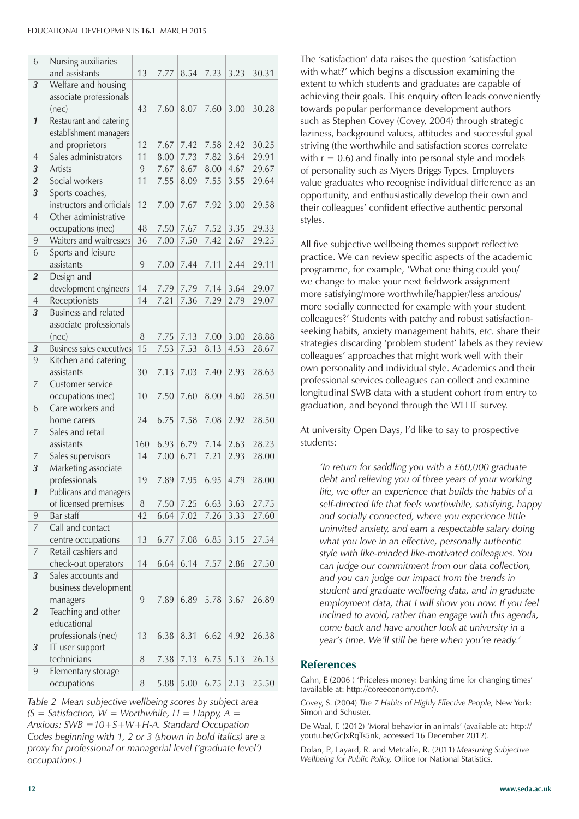#### EDUCATIONAL DEVELOPMENTS **16.1** MARCH 2015

| 6                   | Nursing auxiliaries                          |         |              |      |              |              |                |
|---------------------|----------------------------------------------|---------|--------------|------|--------------|--------------|----------------|
|                     | and assistants                               | 13      | 7.77         | 8.54 | 7.23         | 3.23         | 30.31          |
| 3                   | Welfare and housing                          |         |              |      |              |              |                |
|                     | associate professionals                      |         |              |      |              |              |                |
|                     | (nec)                                        | 43      | 7.60         | 8.07 | 7.60         | 3.00         | 30.28          |
| $\mathbf{1}$        | Restaurant and catering                      |         |              |      |              |              |                |
|                     | establishment managers                       |         |              |      |              |              |                |
|                     | and proprietors<br>Sales administrators      | 12      | 7.67         | 7.42 | 7.58         | 2.42         | 30.25          |
| 4<br>3              |                                              | 11      | 8.00         | 7.73 | 7.82         | 3.64         | 29.91          |
|                     | Artists<br>Social workers                    | 9<br>11 | 7.67<br>7.55 | 8.67 | 8.00<br>7.55 | 4.67<br>3.55 | 29.67<br>29.64 |
| $\overline{2}$<br>3 |                                              |         |              | 8.09 |              |              |                |
|                     | Sports coaches,<br>instructors and officials | 12      | 7.00         | 7.67 | 7.92         | 3.00         | 29.58          |
| 4                   | Other administrative                         |         |              |      |              |              |                |
|                     | occupations (nec)                            | 48      | 7.50         | 7.67 | 7.52         | 3.35         | 29.33          |
| 9                   | Waiters and waitresses                       | 36      | 7.00         | 7.50 | 7.42         | 2.67         | 29.25          |
| 6                   | Sports and leisure                           |         |              |      |              |              |                |
|                     | assistants                                   | 9       | 7.00         | 7.44 | 7.11         | 2.44         | 29.11          |
| $\overline{2}$      | Design and                                   |         |              |      |              |              |                |
|                     | development engineers                        | 14      | 7.79         | 7.79 | 7.14         | 3.64         | 29.07          |
| 4                   | Receptionists                                | 14      | 7.21         | 7.36 | 7.29         | 2.79         | 29.07          |
| 3                   | <b>Business and related</b>                  |         |              |      |              |              |                |
|                     | associate professionals                      |         |              |      |              |              |                |
|                     | (nec)                                        | 8       | 7.75         | 7.13 | 7.00         | 3.00         | 28.88          |
| 3                   | <b>Business sales executives</b>             | 15      | 7.53         | 7.53 | 8.13         | 4.53         | 28.67          |
| 9                   | Kitchen and catering                         |         |              |      |              |              |                |
|                     | assistants                                   | 30      | 7.13         | 7.03 | 7.40         | 2.93         | 28.63          |
| 7                   | Customer service                             |         |              |      |              |              |                |
|                     | occupations (nec)                            | 10      | 7.50         | 7.60 | 8.00         | 4.60         | 28.50          |
| 6                   | Care workers and                             |         |              |      |              |              |                |
|                     | home carers                                  | 24      | 6.75         | 7.58 | 7.08         | 2.92         | 28.50          |
| 7                   | Sales and retail                             |         |              |      |              |              |                |
|                     | assistants                                   | 160     | 6.93         | 6.79 | 7.14         | 2.63         | 28.23          |
| 7                   | Sales supervisors                            | 14      | 7.00         | 6.71 | 7.21         | 2.93         | 28.00          |
| 3                   | Marketing associate                          |         |              |      |              |              |                |
|                     | professionals                                | 19      | 7.89         | 7.95 | 6.95         | 4.79         | 28.00          |
| $\boldsymbol{1}$    | Publicans and managers                       |         |              |      |              |              |                |
|                     | of licensed premises                         | 8       | 7.50         | 7.25 | 6.63         | 3.63         | 27.75          |
| 9                   | Bar staff                                    | 42      | 6.64         | 7.02 | 7.26         | 3.33         | 27.60          |
| $\overline{7}$      | Call and contact                             |         |              |      |              |              |                |
|                     | centre occupations                           | 13      | 6.77         | 7.08 | 6.85         | 3.15         | 27.54          |
| 7                   | Retail cashiers and                          |         |              |      |              |              |                |
|                     | check-out operators                          | 14      | 6.64         | 6.14 | 7.57         | 2.86         | 27.50          |
| 3                   | Sales accounts and                           |         |              |      |              |              |                |
|                     | business development                         |         |              |      |              |              |                |
|                     | managers                                     | 9       | 7.89         | 6.89 | 5.78         | 3.67         | 26.89          |
| 2                   | Teaching and other                           |         |              |      |              |              |                |
|                     | educational                                  |         |              |      |              |              |                |
|                     | professionals (nec)                          | 13      | 6.38         | 8.31 | 6.62         | 4.92         | 26.38          |
| 3                   | IT user support                              |         |              |      |              |              |                |
|                     | technicians                                  | 8       | 7.38         | 7.13 | 6.75         | 5.13         | 26.13          |
| 9                   | Elementary storage                           |         |              |      |              |              |                |
|                     | occupations                                  | 8       | 5.88         | 5.00 | 6.75         | 2.13         | 25.50          |

*Table 2 Mean subjective wellbeing scores by subject area*   $(S = S \text{a} t \text{is} \text{factor}, W = \text{W} \text{or} \text{t} \text{h} \text{where} \text{or} \text{h} \text{where} \text{h} \text{ is the same value of } \text{h} \text{ and } \text{h} \text{ is the same value of } \text{h} \text{ and } \text{h} \text{ is the same value of } \text{h} \text{ and } \text{h} \text{ is the same value of } \text{h} \text{ and } \text{h} \text{ is the same value of } \text{h} \text{ and } \text{h} \text{ is the same value of } \text{h} \text{ and } \text{h} \text{ is the same value of } \$ *Anxious; SWB =10+S+W+H-A. Standard Occupation Codes beginning with 1, 2 or 3 (shown in bold italics) are a proxy for professional or managerial level ('graduate level') occupations.)*

The 'satisfaction' data raises the question 'satisfaction with what?' which begins a discussion examining the extent to which students and graduates are capable of achieving their goals. This enquiry often leads conveniently towards popular performance development authors such as Stephen Covey (Covey, 2004) through strategic laziness, background values, attitudes and successful goal striving (the worthwhile and satisfaction scores correlate with  $r = 0.6$ ) and finally into personal style and models of personality such as Myers Briggs Types. Employers value graduates who recognise individual difference as an opportunity, and enthusiastically develop their own and their colleagues' confident effective authentic personal styles.

All five subjective wellbeing themes support reflective practice. We can review specific aspects of the academic programme, for example, 'What one thing could you/ we change to make your next fieldwork assignment more satisfying/more worthwhile/happier/less anxious/ more socially connected for example with your student colleagues?' Students with patchy and robust satisfactionseeking habits, anxiety management habits, *etc.* share their strategies discarding 'problem student' labels as they review colleagues' approaches that might work well with their own personality and individual style. Academics and their professional services colleagues can collect and examine longitudinal SWB data with a student cohort from entry to graduation, and beyond through the WLHE survey.

At university Open Days, I'd like to say to prospective students:

*'In return for saddling you with a £60,000 graduate debt and relieving you of three years of your working life, we offer an experience that builds the habits of a self-directed life that feels worthwhile, satisfying, happy and socially connected, where you experience little uninvited anxiety, and earn a respectable salary doing what you love in an effective, personally authentic style with like-minded like-motivated colleagues. You can judge our commitment from our data collection, and you can judge our impact from the trends in student and graduate wellbeing data, and in graduate employment data, that I will show you now. If you feel inclined to avoid, rather than engage with this agenda, come back and have another look at university in a year's time. We'll still be here when you're ready.'*

#### **References**

Cahn, E (2006 ) 'Priceless money: banking time for changing times' (available at: http://coreeconomy.com/).

Covey, S. (2004) *The 7 Habits of Highly Effective People,* New York: Simon and Schuster.

De Waal, F. (2012) 'Moral behavior in animals' (available at: http:// youtu.be/GcJxRqTs5nk, accessed 16 December 2012).

Dolan, P., Layard, R. and Metcalfe, R. (2011) *Measuring Subjective Wellbeing for Public Policy,* Office for National Statistics.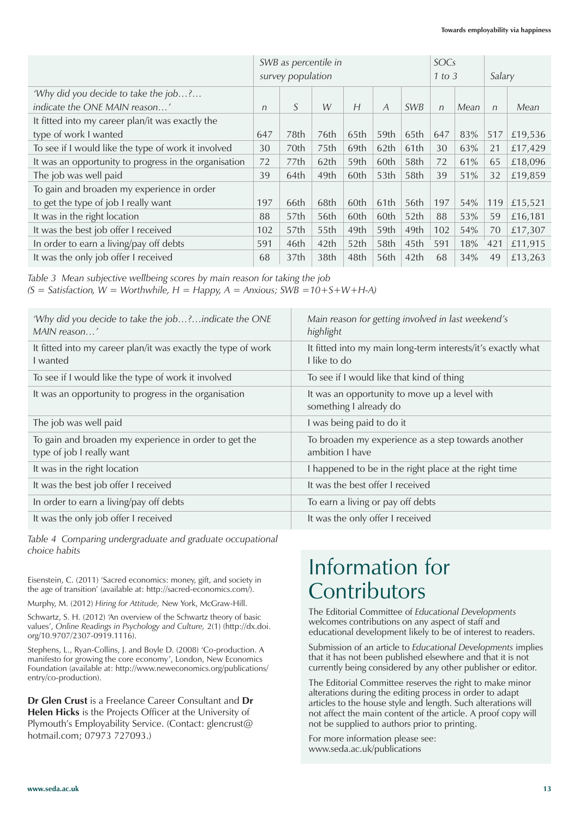|                                                       | SWB as percentile in<br>survey population |                  |                  |                  |                | SOCs<br>1 to 3   |            | Salary |            |         |
|-------------------------------------------------------|-------------------------------------------|------------------|------------------|------------------|----------------|------------------|------------|--------|------------|---------|
| 'Why did you decide to take the job?                  |                                           |                  |                  |                  |                |                  |            |        |            |         |
| indicate the ONE MAIN reason'                         | n                                         | S                | W                | H                | $\overline{A}$ | <b>SWB</b>       | $\sqrt{n}$ | Mean   | $\sqrt{n}$ | Mean    |
| It fitted into my career plan/it was exactly the      |                                           |                  |                  |                  |                |                  |            |        |            |         |
| type of work I wanted                                 | 647                                       | 78th             | 76th             | 65th             | 59th           | 65th             | 647        | 83%    | 517        | £19,536 |
| To see if I would like the type of work it involved   | 30                                        | 70th             | 75th             | 69th             | 62th           | 61th             | 30         | 63%    | 21         | £17,429 |
| It was an opportunity to progress in the organisation | 72                                        | 77th             | 62th             | 59th             | 60th           | 58th             | 72         | 61%    | 65         | £18,096 |
| The job was well paid                                 | 39                                        | 64th             | 49th             | 60th             | 53th           | 58th             | 39         | 51%    | 32         | £19,859 |
| To gain and broaden my experience in order            |                                           |                  |                  |                  |                |                  |            |        |            |         |
| to get the type of job I really want                  | 197                                       | 66th             | 68th             | 60th             | 61th           | 56th             | 197        | 54%    | 119        | £15,521 |
| It was in the right location                          | 88                                        | 57th             | 56th             | 60th             | 60th           | 52 <sub>th</sub> | 88         | 53%    | 59         | £16,181 |
| It was the best job offer I received                  | 102                                       | 57th             | 55th             | 49th             | 59th           | 49th             | 102        | 54%    | 70         | £17,307 |
| In order to earn a living/pay off debts               | 591                                       | 46th             | 42 <sub>th</sub> | 52 <sub>th</sub> | 58th           | 45th             | 591        | 18%    | 421        | £11,915 |
| It was the only job offer I received                  | 68                                        | 37 <sub>th</sub> | 38th             | 48th             | 56th           | 42 <sub>th</sub> | 68         | 34%    | 49         | £13,263 |

*Table 3 Mean subjective wellbeing scores by main reason for taking the job* 

 $(S = S_{\text{d}}(S) = S_{\text{d}}(S) = \text{d}s$  = Worthwhile,  $H = H_{\text{p}}(S) = A_{\text{d}}(S) = H_{\text{p}}(S) = H_{\text{p}}(S) = H_{\text{p}}(S) = H_{\text{p}}(S) = H_{\text{p}}(S) = H_{\text{p}}(S) = H_{\text{p}}(S) = H_{\text{p}}(S) = H_{\text{p}}(S) = H_{\text{p}}(S) = H_{\text{p}}(S) = H_{\text{p}}(S) = H_{\text{p}}(S) = H_{\text{p}}$ 

| 'Why did you decide to take the job?indicate the ONE<br>MAIN reason'               | Main reason for getting involved in last weekend's<br>highlight             |
|------------------------------------------------------------------------------------|-----------------------------------------------------------------------------|
| It fitted into my career plan/it was exactly the type of work<br>I wanted          | It fitted into my main long-term interests/it's exactly what<br>Llike to do |
| To see if I would like the type of work it involved                                | To see if I would like that kind of thing                                   |
| It was an opportunity to progress in the organisation                              | It was an opportunity to move up a level with<br>something I already do     |
| The job was well paid                                                              | I was being paid to do it                                                   |
| To gain and broaden my experience in order to get the<br>type of job I really want | To broaden my experience as a step towards another<br>ambition I have       |
| It was in the right location                                                       | I happened to be in the right place at the right time                       |
| It was the best job offer I received                                               | It was the best offer L received                                            |
| In order to earn a living/pay off debts                                            | To earn a living or pay off debts                                           |
| It was the only job offer I received                                               | It was the only offer I received                                            |

*Table 4 Comparing undergraduate and graduate occupational choice habits*

Eisenstein, C. (2011) 'Sacred economics: money, gift, and society in the age of transition' (available at: http://sacred-economics.com/).

Murphy, M. (2012) *Hiring for Attitude,* New York, McGraw-Hill.

Schwartz, S. H. (2012) 'An overview of the Schwartz theory of basic values', *Online Readings in Psychology and Culture,* 2(1) (http://dx.doi. org/10.9707/2307-0919.1116).

Stephens, L., Ryan-Collins, J. and Boyle D. (2008) 'Co-production. A manifesto for growing the core economy', London, New Economics Foundation (available at: http://www.neweconomics.org/publications/ entry/co-production).

**Dr Glen Crust** is a Freelance Career Consultant and **Dr Helen Hicks** is the Projects Officer at the University of Plymouth's Employability Service. (Contact: glencrust@ hotmail.com; 07973 727093.)

### Information for **Contributors**

The Editorial Committee of *Educational Developments*  welcomes contributions on any aspect of staff and educational development likely to be of interest to readers.

Submission of an article to *Educational Developments* implies that it has not been published elsewhere and that it is not currently being considered by any other publisher or editor.

The Editorial Committee reserves the right to make minor alterations during the editing process in order to adapt articles to the house style and length. Such alterations will not affect the main content of the article. A proof copy will not be supplied to authors prior to printing.

For more information please see: www.seda.ac.uk/publications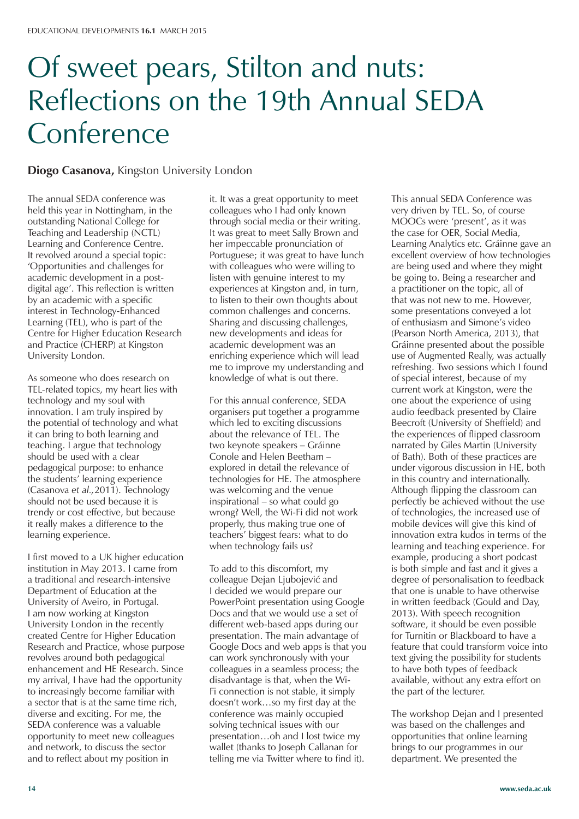## Of sweet pears, Stilton and nuts: Reflections on the 19th Annual SEDA **Conference**

#### **Diogo Casanova,** Kingston University London

The annual SEDA conference was held this year in Nottingham, in the outstanding National College for Teaching and Leadership (NCTL) Learning and Conference Centre. It revolved around a special topic: 'Opportunities and challenges for academic development in a postdigital age'. This reflection is written by an academic with a specific interest in Technology-Enhanced Learning (TEL), who is part of the Centre for Higher Education Research and Practice (CHERP) at Kingston University London.

As someone who does research on TEL-related topics, my heart lies with technology and my soul with innovation. I am truly inspired by the potential of technology and what it can bring to both learning and teaching. I argue that technology should be used with a clear pedagogical purpose: to enhance the students' learning experience (Casanova *et al.,*2011). Technology should not be used because it is trendy or cost effective, but because it really makes a difference to the learning experience.

I first moved to a UK higher education institution in May 2013. I came from a traditional and research-intensive Department of Education at the University of Aveiro, in Portugal. I am now working at Kingston University London in the recently created Centre for Higher Education Research and Practice, whose purpose revolves around both pedagogical enhancement and HE Research. Since my arrival, I have had the opportunity to increasingly become familiar with a sector that is at the same time rich, diverse and exciting. For me, the SEDA conference was a valuable opportunity to meet new colleagues and network, to discuss the sector and to reflect about my position in

it. It was a great opportunity to meet colleagues who I had only known through social media or their writing. It was great to meet Sally Brown and her impeccable pronunciation of Portuguese; it was great to have lunch with colleagues who were willing to listen with genuine interest to my experiences at Kingston and, in turn, to listen to their own thoughts about common challenges and concerns. Sharing and discussing challenges, new developments and ideas for academic development was an enriching experience which will lead me to improve my understanding and knowledge of what is out there.

For this annual conference, SEDA organisers put together a programme which led to exciting discussions about the relevance of TEL. The two keynote speakers – Gráinne Conole and Helen Beetham – explored in detail the relevance of technologies for HE. The atmosphere was welcoming and the venue inspirational – so what could go wrong? Well, the Wi-Fi did not work properly, thus making true one of teachers' biggest fears: what to do when technology fails us?

To add to this discomfort, my colleague Dejan Ljubojević and I decided we would prepare our PowerPoint presentation using Google Docs and that we would use a set of different web-based apps during our presentation. The main advantage of Google Docs and web apps is that you can work synchronously with your colleagues in a seamless process; the disadvantage is that, when the Wi-Fi connection is not stable, it simply doesn't work…so my first day at the conference was mainly occupied solving technical issues with our presentation…oh and I lost twice my wallet (thanks to Joseph Callanan for telling me via Twitter where to find it).

This annual SEDA Conference was very driven by TEL. So, of course MOOCs were 'present', as it was the case for OER, Social Media, Learning Analytics *etc.* Gráinne gave an excellent overview of how technologies are being used and where they might be going to. Being a researcher and a practitioner on the topic, all of that was not new to me. However, some presentations conveyed a lot of enthusiasm and Simone's video (Pearson North America, 2013), that Gráinne presented about the possible use of Augmented Really, was actually refreshing. Two sessions which I found of special interest, because of my current work at Kingston, were the one about the experience of using audio feedback presented by Claire Beecroft (University of Sheffield) and the experiences of flipped classroom narrated by Giles Martin (University of Bath). Both of these practices are under vigorous discussion in HE, both in this country and internationally. Although flipping the classroom can perfectly be achieved without the use of technologies, the increased use of mobile devices will give this kind of innovation extra kudos in terms of the learning and teaching experience. For example, producing a short podcast is both simple and fast and it gives a degree of personalisation to feedback that one is unable to have otherwise in written feedback (Gould and Day, 2013). With speech recognition software, it should be even possible for Turnitin or Blackboard to have a feature that could transform voice into text giving the possibility for students to have both types of feedback available, without any extra effort on the part of the lecturer.

The workshop Dejan and I presented was based on the challenges and opportunities that online learning brings to our programmes in our department. We presented the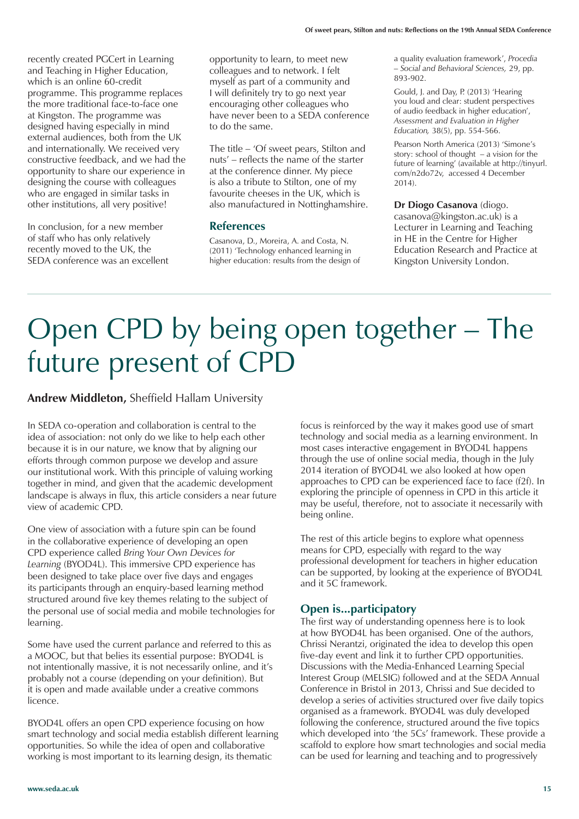recently created PGCert in Learning and Teaching in Higher Education, which is an online 60-credit programme. This programme replaces the more traditional face-to-face one at Kingston. The programme was designed having especially in mind external audiences, both from the UK and internationally. We received very constructive feedback, and we had the opportunity to share our experience in designing the course with colleagues who are engaged in similar tasks in other institutions, all very positive!

In conclusion, for a new member of staff who has only relatively recently moved to the UK, the SEDA conference was an excellent

opportunity to learn, to meet new colleagues and to network. I felt myself as part of a community and I will definitely try to go next year encouraging other colleagues who have never been to a SEDA conference to do the same.

The title – 'Of sweet pears, Stilton and nuts' – reflects the name of the starter at the conference dinner. My piece is also a tribute to Stilton, one of my favourite cheeses in the UK, which is also manufactured in Nottinghamshire.

#### **References**

Casanova, D., Moreira, A. and Costa, N. (2011) 'Technology enhanced learning in higher education: results from the design of a quality evaluation framework', *Procedia – Social and Behavioral Sciences,* 29, pp. 893-902.

Gould, J. and Day, P. (2013) 'Hearing you loud and clear: student perspectives of audio feedback in higher education', *Assessment and Evaluation in Higher Education,* 38(5), pp. 554-566.

Pearson North America (2013) 'Simone's story: school of thought – a vision for the future of learning' (available at http://tinyurl. com/n2do72v, accessed 4 December 2014).

**Dr Diogo Casanova** (diogo. casanova@kingston.ac.uk) is a Lecturer in Learning and Teaching in HE in the Centre for Higher Education Research and Practice at Kingston University London.

### Open CPD by being open together – The future present of CPD

#### **Andrew Middleton,** Sheffield Hallam University

In SEDA co-operation and collaboration is central to the idea of association: not only do we like to help each other because it is in our nature, we know that by aligning our efforts through common purpose we develop and assure our institutional work. With this principle of valuing working together in mind, and given that the academic development landscape is always in flux, this article considers a near future view of academic CPD.

One view of association with a future spin can be found in the collaborative experience of developing an open CPD experience called *Bring Your Own Devices for Learning* (BYOD4L). This immersive CPD experience has been designed to take place over five days and engages its participants through an enquiry-based learning method structured around five key themes relating to the subject of the personal use of social media and mobile technologies for learning.

Some have used the current parlance and referred to this as a MOOC, but that belies its essential purpose: BYOD4L is not intentionally massive, it is not necessarily online, and it's probably not a course (depending on your definition). But it is open and made available under a creative commons licence.

BYOD4L offers an open CPD experience focusing on how smart technology and social media establish different learning opportunities. So while the idea of open and collaborative working is most important to its learning design, its thematic

focus is reinforced by the way it makes good use of smart technology and social media as a learning environment. In most cases interactive engagement in BYOD4L happens through the use of online social media, though in the July 2014 iteration of BYOD4L we also looked at how open approaches to CPD can be experienced face to face (f2f). In exploring the principle of openness in CPD in this article it may be useful, therefore, not to associate it necessarily with being online.

The rest of this article begins to explore what openness means for CPD, especially with regard to the way professional development for teachers in higher education can be supported, by looking at the experience of BYOD4L and it 5C framework.

#### **Open is...participatory**

The first way of understanding openness here is to look at how BYOD4L has been organised. One of the authors, Chrissi Nerantzi, originated the idea to develop this open five-day event and link it to further CPD opportunities. Discussions with the Media-Enhanced Learning Special Interest Group (MELSIG) followed and at the SEDA Annual Conference in Bristol in 2013, Chrissi and Sue decided to develop a series of activities structured over five daily topics organised as a framework. BYOD4L was duly developed following the conference, structured around the five topics which developed into 'the 5Cs' framework. These provide a scaffold to explore how smart technologies and social media can be used for learning and teaching and to progressively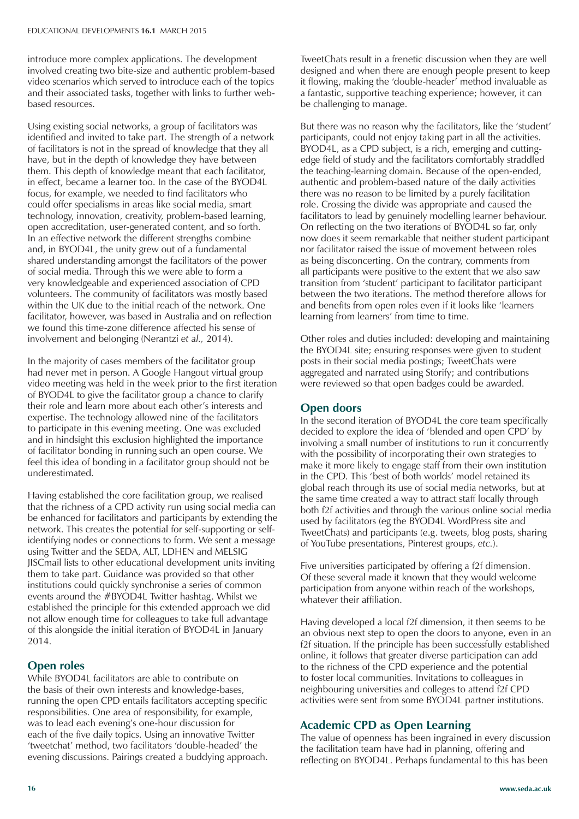introduce more complex applications. The development involved creating two bite-size and authentic problem-based video scenarios which served to introduce each of the topics and their associated tasks, together with links to further webbased resources.

Using existing social networks, a group of facilitators was identified and invited to take part. The strength of a network of facilitators is not in the spread of knowledge that they all have, but in the depth of knowledge they have between them. This depth of knowledge meant that each facilitator, in effect, became a learner too. In the case of the BYOD4L focus, for example, we needed to find facilitators who could offer specialisms in areas like social media, smart technology, innovation, creativity, problem-based learning, open accreditation, user-generated content, and so forth. In an effective network the different strengths combine and, in BYOD4L, the unity grew out of a fundamental shared understanding amongst the facilitators of the power of social media. Through this we were able to form a very knowledgeable and experienced association of CPD volunteers. The community of facilitators was mostly based within the UK due to the initial reach of the network. One facilitator, however, was based in Australia and on reflection we found this time-zone difference affected his sense of involvement and belonging (Nerantzi *et al.,* 2014).

In the majority of cases members of the facilitator group had never met in person. A Google Hangout virtual group video meeting was held in the week prior to the first iteration of BYOD4L to give the facilitator group a chance to clarify their role and learn more about each other's interests and expertise. The technology allowed nine of the facilitators to participate in this evening meeting. One was excluded and in hindsight this exclusion highlighted the importance of facilitator bonding in running such an open course. We feel this idea of bonding in a facilitator group should not be underestimated.

Having established the core facilitation group, we realised that the richness of a CPD activity run using social media can be enhanced for facilitators and participants by extending the network. This creates the potential for self-supporting or selfidentifying nodes or connections to form. We sent a message using Twitter and the SEDA, ALT, LDHEN and MELSIG JISCmail lists to other educational development units inviting them to take part. Guidance was provided so that other institutions could quickly synchronise a series of common events around the #BYOD4L Twitter hashtag. Whilst we established the principle for this extended approach we did not allow enough time for colleagues to take full advantage of this alongside the initial iteration of BYOD4L in January 2014.

#### **Open roles**

While BYOD4L facilitators are able to contribute on the basis of their own interests and knowledge-bases, running the open CPD entails facilitators accepting specific responsibilities. One area of responsibility, for example, was to lead each evening's one-hour discussion for each of the five daily topics. Using an innovative Twitter 'tweetchat' method, two facilitators 'double-headed' the evening discussions. Pairings created a buddying approach.

TweetChats result in a frenetic discussion when they are well designed and when there are enough people present to keep it flowing, making the 'double-header' method invaluable as a fantastic, supportive teaching experience; however, it can be challenging to manage.

But there was no reason why the facilitators, like the 'student' participants, could not enjoy taking part in all the activities. BYOD4L, as a CPD subject, is a rich, emerging and cuttingedge field of study and the facilitators comfortably straddled the teaching-learning domain. Because of the open-ended, authentic and problem-based nature of the daily activities there was no reason to be limited by a purely facilitation role. Crossing the divide was appropriate and caused the facilitators to lead by genuinely modelling learner behaviour. On reflecting on the two iterations of BYOD4L so far, only now does it seem remarkable that neither student participant nor facilitator raised the issue of movement between roles as being disconcerting. On the contrary, comments from all participants were positive to the extent that we also saw transition from 'student' participant to facilitator participant between the two iterations. The method therefore allows for and benefits from open roles even if it looks like 'learners learning from learners' from time to time.

Other roles and duties included: developing and maintaining the BYOD4L site; ensuring responses were given to student posts in their social media postings; TweetChats were aggregated and narrated using Storify; and contributions were reviewed so that open badges could be awarded.

#### **Open doors**

In the second iteration of BYOD4L the core team specifically decided to explore the idea of 'blended and open CPD' by involving a small number of institutions to run it concurrently with the possibility of incorporating their own strategies to make it more likely to engage staff from their own institution in the CPD. This 'best of both worlds' model retained its global reach through its use of social media networks, but at the same time created a way to attract staff locally through both f2f activities and through the various online social media used by facilitators (eg the BYOD4L WordPress site and TweetChats) and participants (e.g. tweets, blog posts, sharing of YouTube presentations, Pinterest groups, *etc.*).

Five universities participated by offering a f2f dimension. Of these several made it known that they would welcome participation from anyone within reach of the workshops, whatever their affiliation.

Having developed a local f2f dimension, it then seems to be an obvious next step to open the doors to anyone, even in an f2f situation. If the principle has been successfully established online, it follows that greater diverse participation can add to the richness of the CPD experience and the potential to foster local communities. Invitations to colleagues in neighbouring universities and colleges to attend f2f CPD activities were sent from some BYOD4L partner institutions.

#### **Academic CPD as Open Learning**

The value of openness has been ingrained in every discussion the facilitation team have had in planning, offering and reflecting on BYOD4L. Perhaps fundamental to this has been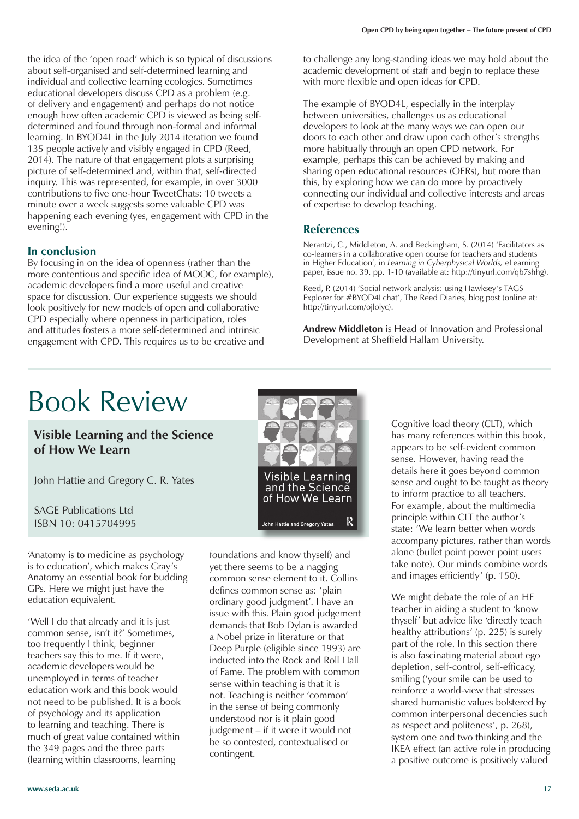the idea of the 'open road' which is so typical of discussions about self-organised and self-determined learning and individual and collective learning ecologies. Sometimes educational developers discuss CPD as a problem (e.g. of delivery and engagement) and perhaps do not notice enough how often academic CPD is viewed as being selfdetermined and found through non-formal and informal learning. In BYOD4L in the July 2014 iteration we found 135 people actively and visibly engaged in CPD (Reed, 2014). The nature of that engagement plots a surprising picture of self-determined and, within that, self-directed inquiry. This was represented, for example, in over 3000 contributions to five one-hour TweetChats: 10 tweets a minute over a week suggests some valuable CPD was happening each evening (yes, engagement with CPD in the evening!).

#### **In conclusion**

By focusing in on the idea of openness (rather than the more contentious and specific idea of MOOC, for example), academic developers find a more useful and creative space for discussion. Our experience suggests we should look positively for new models of open and collaborative CPD especially where openness in participation, roles and attitudes fosters a more self-determined and intrinsic engagement with CPD. This requires us to be creative and

to challenge any long-standing ideas we may hold about the academic development of staff and begin to replace these with more flexible and open ideas for CPD.

The example of BYOD4L, especially in the interplay between universities, challenges us as educational developers to look at the many ways we can open our doors to each other and draw upon each other's strengths more habitually through an open CPD network. For example, perhaps this can be achieved by making and sharing open educational resources (OERs), but more than this, by exploring how we can do more by proactively connecting our individual and collective interests and areas of expertise to develop teaching.

#### **References**

Nerantzi, C., Middleton, A. and Beckingham, S. (2014) 'Facilitators as co-learners in a collaborative open course for teachers and students in Higher Education', in *Learning in Cyberphysical Worlds,* eLearning paper, issue no. 39, pp. 1-10 (available at: http://tinyurl.com/qb7shhg).

Reed, P. (2014) 'Social network analysis: using Hawksey's TAGS Explorer for #BYOD4Lchat', The Reed Diaries, blog post (online at: http://tinyurl.com/ojlolyc).

**Andrew Middleton** is Head of Innovation and Professional Development at Sheffield Hallam University.

### Book Review

#### **Visible Learning and the Science of How We Learn**

John Hattie and Gregory C. R. Yates

SAGE Publications Ltd ISBN 10: 0415704995

'Anatomy is to medicine as psychology is to education', which makes Gray's Anatomy an essential book for budding GPs. Here we might just have the education equivalent.

'Well I do that already and it is just common sense, isn't it?' Sometimes, too frequently I think, beginner teachers say this to me. If it were, academic developers would be unemployed in terms of teacher education work and this book would not need to be published. It is a book of psychology and its application to learning and teaching. There is much of great value contained within the 349 pages and the three parts (learning within classrooms, learning



foundations and know thyself) and yet there seems to be a nagging common sense element to it. Collins defines common sense as: 'plain ordinary good judgment'. I have an issue with this. Plain good judgement demands that Bob Dylan is awarded a Nobel prize in literature or that Deep Purple (eligible since 1993) are inducted into the Rock and Roll Hall of Fame. The problem with common sense within teaching is that it is not. Teaching is neither 'common' in the sense of being commonly understood nor is it plain good judgement – if it were it would not be so contested, contextualised or contingent.

Cognitive load theory (CLT), which has many references within this book, appears to be self-evident common sense. However, having read the details here it goes beyond common sense and ought to be taught as theory to inform practice to all teachers. For example, about the multimedia principle within CLT the author's state: 'We learn better when words accompany pictures, rather than words alone (bullet point power point users take note). Our minds combine words and images efficiently' (p. 150).

We might debate the role of an HE teacher in aiding a student to 'know thyself' but advice like 'directly teach healthy attributions' (p. 225) is surely part of the role. In this section there is also fascinating material about ego depletion, self-control, self-efficacy, smiling ('your smile can be used to reinforce a world-view that stresses shared humanistic values bolstered by common interpersonal decencies such as respect and politeness', p. 268), system one and two thinking and the IKEA effect (an active role in producing a positive outcome is positively valued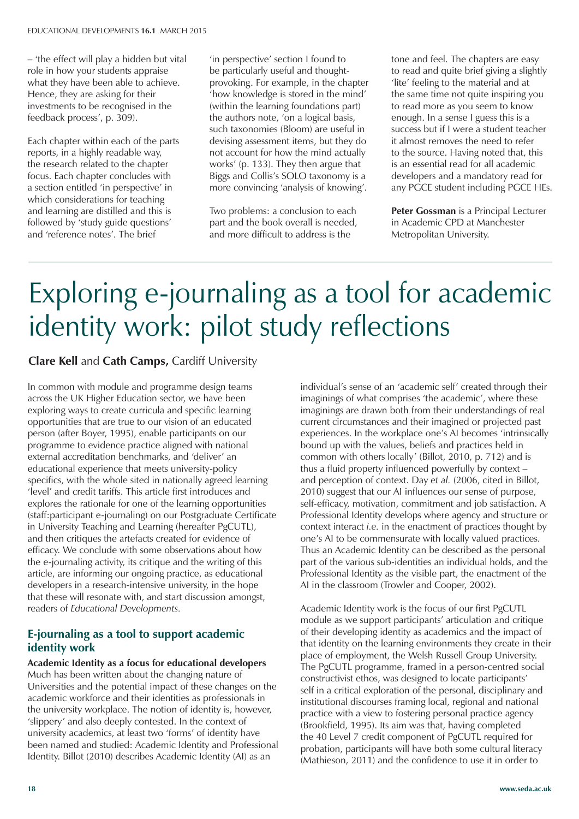– 'the effect will play a hidden but vital role in how your students appraise what they have been able to achieve. Hence, they are asking for their investments to be recognised in the feedback process', p. 309).

Each chapter within each of the parts reports, in a highly readable way, the research related to the chapter focus. Each chapter concludes with a section entitled 'in perspective' in which considerations for teaching and learning are distilled and this is followed by 'study guide questions' and 'reference notes'. The brief

'in perspective' section I found to be particularly useful and thoughtprovoking. For example, in the chapter 'how knowledge is stored in the mind' (within the learning foundations part) the authors note, 'on a logical basis, such taxonomies (Bloom) are useful in devising assessment items, but they do not account for how the mind actually works' (p. 133). They then argue that Biggs and Collis's SOLO taxonomy is a more convincing 'analysis of knowing'.

Two problems: a conclusion to each part and the book overall is needed, and more difficult to address is the

tone and feel. The chapters are easy to read and quite brief giving a slightly 'lite' feeling to the material and at the same time not quite inspiring you to read more as you seem to know enough. In a sense I guess this is a success but if I were a student teacher it almost removes the need to refer to the source. Having noted that, this is an essential read for all academic developers and a mandatory read for any PGCE student including PGCE HEs.

**Peter Gossman** is a Principal Lecturer in Academic CPD at Manchester Metropolitan University.

## Exploring e-journaling as a tool for academic identity work: pilot study reflections

#### **Clare Kell** and **Cath Camps,** Cardiff University

In common with module and programme design teams across the UK Higher Education sector, we have been exploring ways to create curricula and specific learning opportunities that are true to our vision of an educated person (after Boyer, 1995), enable participants on our programme to evidence practice aligned with national external accreditation benchmarks, and 'deliver' an educational experience that meets university-policy specifics, with the whole sited in nationally agreed learning 'level' and credit tariffs. This article first introduces and explores the rationale for one of the learning opportunities (staff:participant e-journaling) on our Postgraduate Certificate in University Teaching and Learning (hereafter PgCUTL), and then critiques the artefacts created for evidence of efficacy. We conclude with some observations about how the e-journaling activity, its critique and the writing of this article, are informing our ongoing practice, as educational developers in a research-intensive university, in the hope that these will resonate with, and start discussion amongst, readers of *Educational Developments.*

#### **E-journaling as a tool to support academic identity work**

**Academic Identity as a focus for educational developers** Much has been written about the changing nature of Universities and the potential impact of these changes on the academic workforce and their identities as professionals in the university workplace. The notion of identity is, however, 'slippery' and also deeply contested. In the context of university academics, at least two 'forms' of identity have been named and studied: Academic Identity and Professional Identity. Billot (2010) describes Academic Identity (AI) as an

individual's sense of an 'academic self' created through their imaginings of what comprises 'the academic', where these imaginings are drawn both from their understandings of real current circumstances and their imagined or projected past experiences. In the workplace one's AI becomes 'intrinsically bound up with the values, beliefs and practices held in common with others locally' (Billot, 2010, p. 712) and is thus a fluid property influenced powerfully by context – and perception of context. Day *et al.* (2006, cited in Billot, 2010) suggest that our AI influences our sense of purpose, self-efficacy, motivation, commitment and job satisfaction. A Professional Identity develops where agency and structure or context interact *i.e.* in the enactment of practices thought by one's AI to be commensurate with locally valued practices. Thus an Academic Identity can be described as the personal part of the various sub-identities an individual holds, and the Professional Identity as the visible part, the enactment of the AI in the classroom (Trowler and Cooper, 2002).

Academic Identity work is the focus of our first PgCUTL module as we support participants' articulation and critique of their developing identity as academics and the impact of that identity on the learning environments they create in their place of employment, the Welsh Russell Group University. The PgCUTL programme, framed in a person-centred social constructivist ethos, was designed to locate participants' self in a critical exploration of the personal, disciplinary and institutional discourses framing local, regional and national practice with a view to fostering personal practice agency (Brookfield, 1995). Its aim was that, having completed the 40 Level 7 credit component of PgCUTL required for probation, participants will have both some cultural literacy (Mathieson, 2011) and the confidence to use it in order to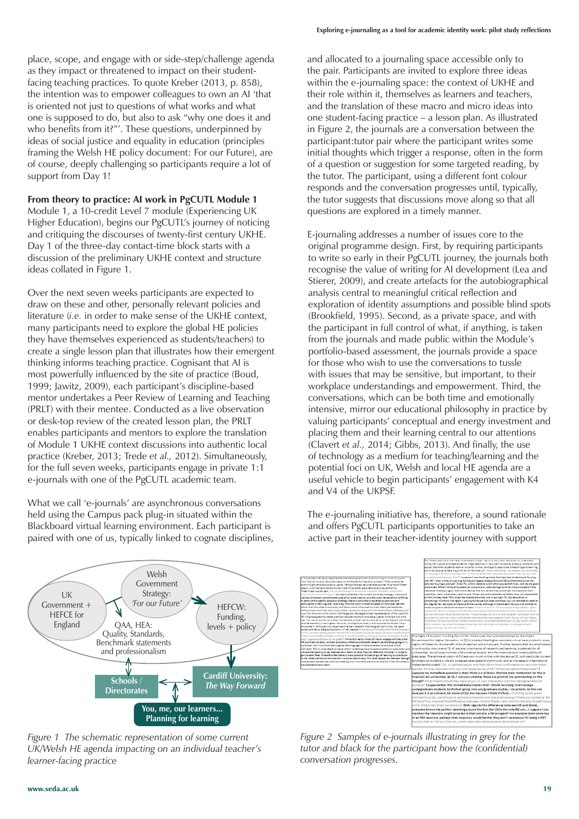place, scope, and engage with or side-step/challenge agenda as they impact or threatened to impact on their studentfacing teaching practices. To quote Kreber (2013, p. 858), the intention was to empower colleagues to own an AI 'that is oriented not just to questions of what works and what one is supposed to do, but also to ask "why one does it and who benefits from it?"'. These questions, underpinned by ideas of social justice and equality in education (principles framing the Welsh HE policy document: For our Future), are of course, deeply challenging so participants require a lot of support from Day 1!

#### **From theory to practice: AI work in PgCUTL Module 1**

Module 1, a 10-credit Level 7 module (Experiencing UK Higher Education), begins our PgCUTL's journey of noticing and critiquing the discourses of twenty-first century UKHE. Day 1 of the three-day contact-time block starts with a discussion of the preliminary UKHE context and structure ideas collated in Figure 1.

Over the next seven weeks participants are expected to draw on these and other, personally relevant policies and literature (*i.e.* in order to make sense of the UKHE context, many participants need to explore the global HE policies they have themselves experienced as students/teachers) to create a single lesson plan that illustrates how their emergent thinking informs teaching practice. Cognisant that AI is most powerfully influenced by the site of practice (Boud, 1999; Jawitz, 2009), each participant's discipline-based mentor undertakes a Peer Review of Learning and Teaching (PRLT) with their mentee. Conducted as a live observation or desk-top review of the created lesson plan, the PRLT enables participants and mentors to explore the translation of Module 1 UKHE context discussions into authentic local practice (Kreber, 2013; Trede *et al.,* 2012). Simultaneously, for the full seven weeks, participants engage in private 1:1 e-journals with one of the PgCUTL academic team.

What we call 'e-journals' are asynchronous conversations held using the Campus pack plug-in situated within the Blackboard virtual learning environment. Each participant is paired with one of us, typically linked to cognate disciplines, and allocated to a journaling space accessible only to the pair. Participants are invited to explore three ideas within the e-journaling space: the context of UKHE and their role within it, themselves as learners and teachers, and the translation of these macro and micro ideas into one student-facing practice – a lesson plan. As illustrated in Figure 2, the journals are a conversation between the participant:tutor pair where the participant writes some initial thoughts which trigger a response, often in the form of a question or suggestion for some targeted reading, by the tutor. The participant, using a different font colour responds and the conversation progresses until, typically, the tutor suggests that discussions move along so that all questions are explored in a timely manner.

E-journaling addresses a number of issues core to the original programme design. First, by requiring participants to write so early in their PgCUTL journey, the journals both recognise the value of writing for AI development (Lea and Stierer, 2009), and create artefacts for the autobiographical analysis central to meaningful critical reflection and exploration of identity assumptions and possible blind spots (Brookfield, 1995). Second, as a private space, and with the participant in full control of what, if anything, is taken from the journals and made public within the Module's portfolio-based assessment, the journals provide a space for those who wish to use the conversations to tussle with issues that may be sensitive, but important, to their workplace understandings and empowerment. Third, the conversations, which can be both time and emotionally intensive, mirror our educational philosophy in practice by valuing participants' conceptual and energy investment and placing them and their learning central to our attentions (Clavert *et al.,* 2014; Gibbs, 2013). And finally, the use of technology as a medium for teaching/learning and the potential foci on UK, Welsh and local HE agenda are a useful vehicle to begin participants' engagement with K4 and V4 of the UKPSF.



*Figure 1 The schematic representation of some current UK/Welsh HE agenda impacting on an individual teacher's learner-facing practice*

The e-journaling initiative has, therefore, a sound rationale and offers PgCUTL participants opportunities to take an active part in their teacher-identity journey with support



*Figure 2 Samples of e-journals illustrating in grey for the tutor and black for the participant how the (confidential) conversation progresses.*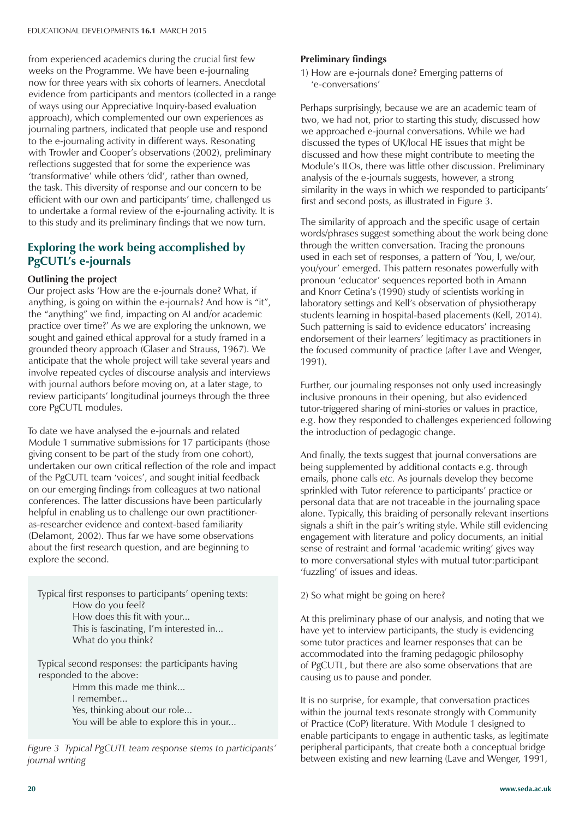from experienced academics during the crucial first few weeks on the Programme. We have been e-journaling now for three years with six cohorts of learners. Anecdotal evidence from participants and mentors (collected in a range of ways using our Appreciative Inquiry-based evaluation approach), which complemented our own experiences as journaling partners, indicated that people use and respond to the e-journaling activity in different ways. Resonating with Trowler and Cooper's observations (2002), preliminary reflections suggested that for some the experience was 'transformative' while others 'did', rather than owned, the task. This diversity of response and our concern to be efficient with our own and participants' time, challenged us to undertake a formal review of the e-journaling activity. It is to this study and its preliminary findings that we now turn.

#### **Exploring the work being accomplished by PgCUTL's e-journals**

#### **Outlining the project**

Our project asks 'How are the e-journals done? What, if anything, is going on within the e-journals? And how is "it", the "anything" we find, impacting on AI and/or academic practice over time?' As we are exploring the unknown, we sought and gained ethical approval for a study framed in a grounded theory approach (Glaser and Strauss, 1967). We anticipate that the whole project will take several years and involve repeated cycles of discourse analysis and interviews with journal authors before moving on, at a later stage, to review participants' longitudinal journeys through the three core PgCUTL modules.

To date we have analysed the e-journals and related Module 1 summative submissions for 17 participants (those giving consent to be part of the study from one cohort), undertaken our own critical reflection of the role and impact of the PgCUTL team 'voices', and sought initial feedback on our emerging findings from colleagues at two national conferences. The latter discussions have been particularly helpful in enabling us to challenge our own practitioneras-researcher evidence and context-based familiarity (Delamont, 2002). Thus far we have some observations about the first research question, and are beginning to explore the second.

Typical first responses to participants' opening texts: How do you feel? How does this fit with your... This is fascinating, I'm interested in... What do you think?

Typical second responses: the participants having responded to the above: Hmm this made me think... I remember... Yes, thinking about our role... You will be able to explore this in your...

*Figure 3 Typical PgCUTL team response stems to participants' journal writing*

#### **Preliminary findings**

1) How are e-journals done? Emerging patterns of 'e-conversations'

Perhaps surprisingly, because we are an academic team of two, we had not, prior to starting this study, discussed how we approached e-journal conversations. While we had discussed the types of UK/local HE issues that might be discussed and how these might contribute to meeting the Module's ILOs, there was little other discussion. Preliminary analysis of the e-journals suggests, however, a strong similarity in the ways in which we responded to participants' first and second posts, as illustrated in Figure 3.

The similarity of approach and the specific usage of certain words/phrases suggest something about the work being done through the written conversation. Tracing the pronouns used in each set of responses, a pattern of 'You, I, we/our, you/your' emerged. This pattern resonates powerfully with pronoun 'educator' sequences reported both in Amann and Knorr Cetina's (1990) study of scientists working in laboratory settings and Kell's observation of physiotherapy students learning in hospital-based placements (Kell, 2014). Such patterning is said to evidence educators' increasing endorsement of their learners' legitimacy as practitioners in the focused community of practice (after Lave and Wenger, 1991).

Further, our journaling responses not only used increasingly inclusive pronouns in their opening, but also evidenced tutor-triggered sharing of mini-stories or values in practice, e.g. how they responded to challenges experienced following the introduction of pedagogic change.

And finally, the texts suggest that journal conversations are being supplemented by additional contacts e.g. through emails, phone calls *etc.* As journals develop they become sprinkled with Tutor reference to participants' practice or personal data that are not traceable in the journaling space alone. Typically, this braiding of personally relevant insertions signals a shift in the pair's writing style. While still evidencing engagement with literature and policy documents, an initial sense of restraint and formal 'academic writing' gives way to more conversational styles with mutual tutor:participant 'fuzzling' of issues and ideas.

#### 2) So what might be going on here?

At this preliminary phase of our analysis, and noting that we have yet to interview participants, the study is evidencing some tutor practices and learner responses that can be accommodated into the framing pedagogic philosophy of PgCUTL, but there are also some observations that are causing us to pause and ponder.

It is no surprise, for example, that conversation practices within the journal texts resonate strongly with Community of Practice (CoP) literature. With Module 1 designed to enable participants to engage in authentic tasks, as legitimate peripheral participants, that create both a conceptual bridge between existing and new learning (Lave and Wenger, 1991,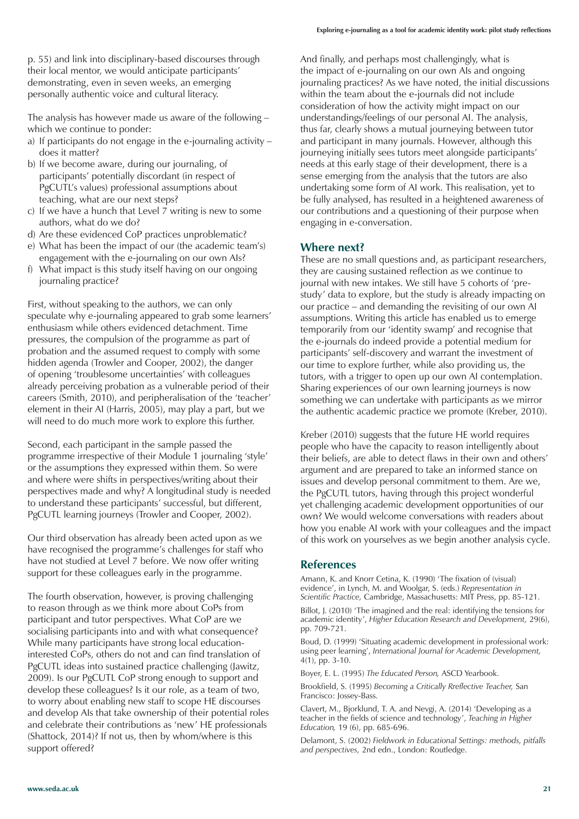p. 55) and link into disciplinary-based discourses through their local mentor, we would anticipate participants' demonstrating, even in seven weeks, an emerging personally authentic voice and cultural literacy.

The analysis has however made us aware of the following – which we continue to ponder:

- a) If participants do not engage in the e-journaling activity does it matter?
- b) If we become aware, during our journaling, of participants' potentially discordant (in respect of PgCUTL's values) professional assumptions about teaching, what are our next steps?
- c) If we have a hunch that Level 7 writing is new to some authors, what do we do?
- d) Are these evidenced CoP practices unproblematic?
- e) What has been the impact of our (the academic team's) engagement with the e-journaling on our own AIs?
- f) What impact is this study itself having on our ongoing journaling practice?

First, without speaking to the authors, we can only speculate why e-journaling appeared to grab some learners' enthusiasm while others evidenced detachment. Time pressures, the compulsion of the programme as part of probation and the assumed request to comply with some hidden agenda (Trowler and Cooper, 2002), the danger of opening 'troublesome uncertainties' with colleagues already perceiving probation as a vulnerable period of their careers (Smith, 2010), and peripheralisation of the 'teacher' element in their AI (Harris, 2005), may play a part, but we will need to do much more work to explore this further.

Second, each participant in the sample passed the programme irrespective of their Module 1 journaling 'style' or the assumptions they expressed within them. So were and where were shifts in perspectives/writing about their perspectives made and why? A longitudinal study is needed to understand these participants' successful, but different, PgCUTL learning journeys (Trowler and Cooper, 2002).

Our third observation has already been acted upon as we have recognised the programme's challenges for staff who have not studied at Level 7 before. We now offer writing support for these colleagues early in the programme.

The fourth observation, however, is proving challenging to reason through as we think more about CoPs from participant and tutor perspectives. What CoP are we socialising participants into and with what consequence? While many participants have strong local educationinterested CoPs, others do not and can find translation of PgCUTL ideas into sustained practice challenging (Jawitz, 2009). Is our PgCUTL CoP strong enough to support and develop these colleagues? Is it our role, as a team of two, to worry about enabling new staff to scope HE discourses and develop AIs that take ownership of their potential roles and celebrate their contributions as 'new' HE professionals (Shattock, 2014)? If not us, then by whom/where is this support offered?

And finally, and perhaps most challengingly, what is the impact of e-journaling on our own AIs and ongoing journaling practices? As we have noted, the initial discussions within the team about the e-journals did not include consideration of how the activity might impact on our understandings/feelings of our personal AI. The analysis, thus far, clearly shows a mutual journeying between tutor and participant in many journals. However, although this journeying initially sees tutors meet alongside participants' needs at this early stage of their development, there is a sense emerging from the analysis that the tutors are also undertaking some form of AI work. This realisation, yet to be fully analysed, has resulted in a heightened awareness of our contributions and a questioning of their purpose when engaging in e-conversation.

#### **Where next?**

These are no small questions and, as participant researchers, they are causing sustained reflection as we continue to journal with new intakes. We still have 5 cohorts of 'prestudy' data to explore, but the study is already impacting on our practice – and demanding the revisiting of our own AI assumptions. Writing this article has enabled us to emerge temporarily from our 'identity swamp' and recognise that the e-journals do indeed provide a potential medium for participants' self-discovery and warrant the investment of our time to explore further, while also providing us, the tutors, with a trigger to open up our own AI contemplation. Sharing experiences of our own learning journeys is now something we can undertake with participants as we mirror the authentic academic practice we promote (Kreber, 2010).

Kreber (2010) suggests that the future HE world requires people who have the capacity to reason intelligently about their beliefs, are able to detect flaws in their own and others' argument and are prepared to take an informed stance on issues and develop personal commitment to them. Are we, the PgCUTL tutors, having through this project wonderful yet challenging academic development opportunities of our own? We would welcome conversations with readers about how you enable AI work with your colleagues and the impact of this work on yourselves as we begin another analysis cycle.

#### **References**

Amann, K. and Knorr Cetina, K. (1990) 'The fixation of (visual) evidence', in Lynch, M. and Woolgar, S. (eds.) *Representation in Scientific Practice,* Cambridge, Massachusetts: MIT Press, pp. 85-121.

Billot, J. (2010) 'The imagined and the real: identifying the tensions for academic identity', *Higher Education Research and Development,* 29(6), pp. 709-721.

Boud, D. (1999) 'Situating academic development in professional work: using peer learning', *International Journal for Academic Development,* 4(1), pp. 3-10.

Boyer, E. L. (1995) *The Educated Person,* ASCD Yearbook.

Brookfield, S. (1995) *Becoming a Critically Rreflective Teacher,* San Francisco: Jossey-Bass.

Clavert, M., Bjorklund, T. A. and Nevgi, A. (2014) 'Developing as a teacher in the fields of science and technology', *Teaching in Higher Education,* 19 (6), pp. 685-696.

Delamont, S. (2002) *Fieldwork in Educational Settings: methods, pitfalls and perspectives,* 2nd edn., London: Routledge.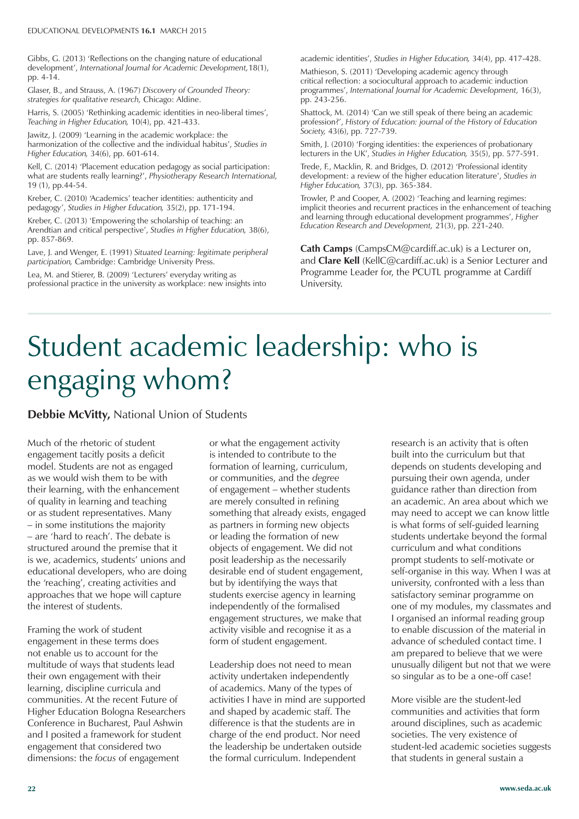#### EDUCATIONAL DEVELOPMENTS **16.1** MARCH 2015

Gibbs, G. (2013) 'Reflections on the changing nature of educational development', *International Journal for Academic Development,*18(1), pp. 4-14.

Glaser, B., and Strauss, A. (1967) *Discovery of Grounded Theory: strategies for qualitative research,* Chicago: Aldine.

Harris, S. (2005) 'Rethinking academic identities in neo-liberal times', *Teaching in Higher Education,* 10(4), pp. 421-433.

Jawitz, J. (2009) 'Learning in the academic workplace: the harmonization of the collective and the individual habitus', *Studies in Higher Education,* 34(6), pp. 601-614.

Kell, C. (2014) 'Placement education pedagogy as social participation: what are students really learning?', *Physiotherapy Research International,* 19 (1), pp.44-54.

Kreber, C. (2010) 'Academics' teacher identities: authenticity and pedagogy', *Studies in Higher Education,* 35(2), pp. 171-194.

Kreber, C. (2013) 'Empowering the scholarship of teaching: an Arendtian and critical perspective', *Studies in Higher Education*, 38(6), pp. 857-869.

Lave, J. and Wenger, E. (1991) *Situated Learning: legitimate peripheral participation,* Cambridge: Cambridge University Press.

Lea, M. and Stierer, B. (2009) 'Lecturers' everyday writing as professional practice in the university as workplace: new insights into academic identities', *Studies in Higher Education,* 34(4), pp. 417-428.

Mathieson, S. (2011) 'Developing academic agency through critical reflection: a sociocultural approach to academic induction programmes', *International Journal for Academic Development,* 16(3), pp. 243-256.

Shattock, M. (2014) 'Can we still speak of there being an academic profession?', *History of Education: journal of the History of Education Society,* 43(6), pp. 727-739.

Smith, J. (2010) 'Forging identities: the experiences of probationary lecturers in the UK', *Studies in Higher Education,* 35(5), pp. 577-591.

Trede, F., Macklin, R. and Bridges, D. (2012) 'Professional identity development: a review of the higher education literature', *Studies in Higher Education,* 37(3), pp. 365-384.

Trowler, P. and Cooper, A. (2002) 'Teaching and learning regimes: implicit theories and recurrent practices in the enhancement of teaching and learning through educational development programmes', *Higher Education Research and Development,* 21(3), pp. 221-240.

**Cath Camps** (CampsCM@cardiff.ac.uk) is a Lecturer on, and **Clare Kell** (KellC@cardiff.ac.uk) is a Senior Lecturer and Programme Leader for, the PCUTL programme at Cardiff University.

## Student academic leadership: who is engaging whom?

**Debbie McVitty,** National Union of Students

Much of the rhetoric of student engagement tacitly posits a deficit model. Students are not as engaged as we would wish them to be with their learning, with the enhancement of quality in learning and teaching or as student representatives. Many – in some institutions the majority – are 'hard to reach'. The debate is structured around the premise that it is we, academics, students' unions and educational developers, who are doing the 'reaching', creating activities and approaches that we hope will capture the interest of students.

Framing the work of student engagement in these terms does not enable us to account for the multitude of ways that students lead their own engagement with their learning, discipline curricula and communities. At the recent Future of Higher Education Bologna Researchers Conference in Bucharest, Paul Ashwin and I posited a framework for student engagement that considered two dimensions: the *focus* of engagement

or what the engagement activity is intended to contribute to the formation of learning, curriculum, or communities, and the *degree* of engagement – whether students are merely consulted in refining something that already exists, engaged as partners in forming new objects or leading the formation of new objects of engagement. We did not posit leadership as the necessarily desirable end of student engagement, but by identifying the ways that students exercise agency in learning independently of the formalised engagement structures, we make that activity visible and recognise it as a form of student engagement.

Leadership does not need to mean activity undertaken independently of academics. Many of the types of activities I have in mind are supported and shaped by academic staff. The difference is that the students are in charge of the end product. Nor need the leadership be undertaken outside the formal curriculum. Independent

research is an activity that is often built into the curriculum but that depends on students developing and pursuing their own agenda, under guidance rather than direction from an academic. An area about which we may need to accept we can know little is what forms of self-guided learning students undertake beyond the formal curriculum and what conditions prompt students to self-motivate or self-organise in this way. When I was at university, confronted with a less than satisfactory seminar programme on one of my modules, my classmates and I organised an informal reading group to enable discussion of the material in advance of scheduled contact time. I am prepared to believe that we were unusually diligent but not that we were so singular as to be a one-off case!

More visible are the student-led communities and activities that form around disciplines, such as academic societies. The very existence of student-led academic societies suggests that students in general sustain a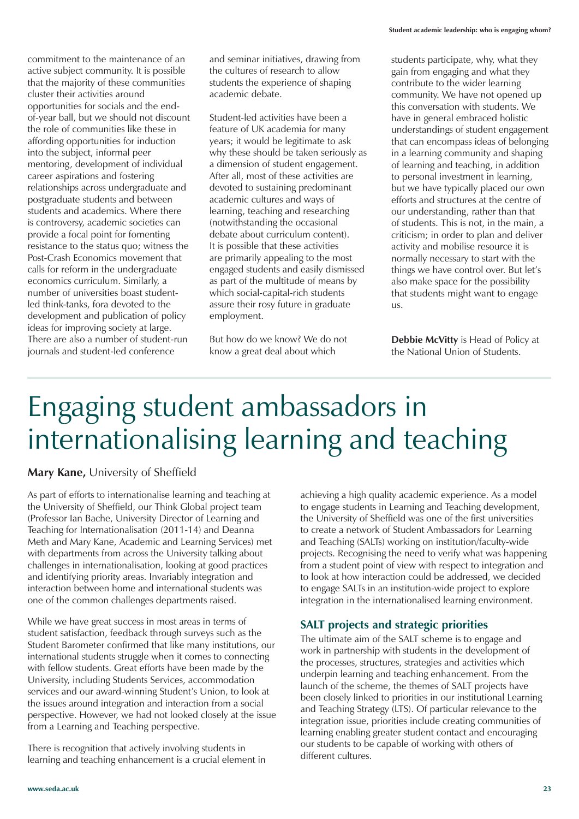commitment to the maintenance of an active subject community. It is possible that the majority of these communities cluster their activities around opportunities for socials and the endof-year ball, but we should not discount the role of communities like these in affording opportunities for induction into the subject, informal peer mentoring, development of individual career aspirations and fostering relationships across undergraduate and postgraduate students and between students and academics. Where there is controversy, academic societies can provide a focal point for fomenting resistance to the status quo; witness the Post-Crash Economics movement that calls for reform in the undergraduate economics curriculum. Similarly, a number of universities boast studentled think-tanks, fora devoted to the development and publication of policy ideas for improving society at large. There are also a number of student-run journals and student-led conference

and seminar initiatives, drawing from the cultures of research to allow students the experience of shaping academic debate.

Student-led activities have been a feature of UK academia for many years; it would be legitimate to ask why these should be taken seriously as a dimension of student engagement. After all, most of these activities are devoted to sustaining predominant academic cultures and ways of learning, teaching and researching (notwithstanding the occasional debate about curriculum content). It is possible that these activities are primarily appealing to the most engaged students and easily dismissed as part of the multitude of means by which social-capital-rich students assure their rosy future in graduate employment.

But how do we know? We do not know a great deal about which

students participate, why, what they gain from engaging and what they contribute to the wider learning community. We have not opened up this conversation with students. We have in general embraced holistic understandings of student engagement that can encompass ideas of belonging in a learning community and shaping of learning and teaching, in addition to personal investment in learning, but we have typically placed our own efforts and structures at the centre of our understanding, rather than that of students. This is not, in the main, a criticism; in order to plan and deliver activity and mobilise resource it is normally necessary to start with the things we have control over. But let's also make space for the possibility that students might want to engage us.

**Debbie McVitty** is Head of Policy at the National Union of Students.

## Engaging student ambassadors in internationalising learning and teaching

#### **Mary Kane,** University of Sheffield

As part of efforts to internationalise learning and teaching at the University of Sheffield, our Think Global project team (Professor Ian Bache, University Director of Learning and Teaching for Internationalisation (2011-14) and Deanna Meth and Mary Kane, Academic and Learning Services) met with departments from across the University talking about challenges in internationalisation, looking at good practices and identifying priority areas. Invariably integration and interaction between home and international students was one of the common challenges departments raised.

While we have great success in most areas in terms of student satisfaction, feedback through surveys such as the Student Barometer confirmed that like many institutions, our international students struggle when it comes to connecting with fellow students. Great efforts have been made by the University, including Students Services, accommodation services and our award-winning Student's Union, to look at the issues around integration and interaction from a social perspective. However, we had not looked closely at the issue from a Learning and Teaching perspective.

There is recognition that actively involving students in learning and teaching enhancement is a crucial element in

achieving a high quality academic experience. As a model to engage students in Learning and Teaching development, the University of Sheffield was one of the first universities to create a network of Student Ambassadors for Learning and Teaching (SALTs) working on institution/faculty-wide projects. Recognising the need to verify what was happening from a student point of view with respect to integration and to look at how interaction could be addressed, we decided to engage SALTs in an institution-wide project to explore integration in the internationalised learning environment.

#### **SALT projects and strategic priorities**

The ultimate aim of the SALT scheme is to engage and work in partnership with students in the development of the processes, structures, strategies and activities which underpin learning and teaching enhancement. From the launch of the scheme, the themes of SALT projects have been closely linked to priorities in our institutional Learning and Teaching Strategy (LTS). Of particular relevance to the integration issue, priorities include creating communities of learning enabling greater student contact and encouraging our students to be capable of working with others of different cultures.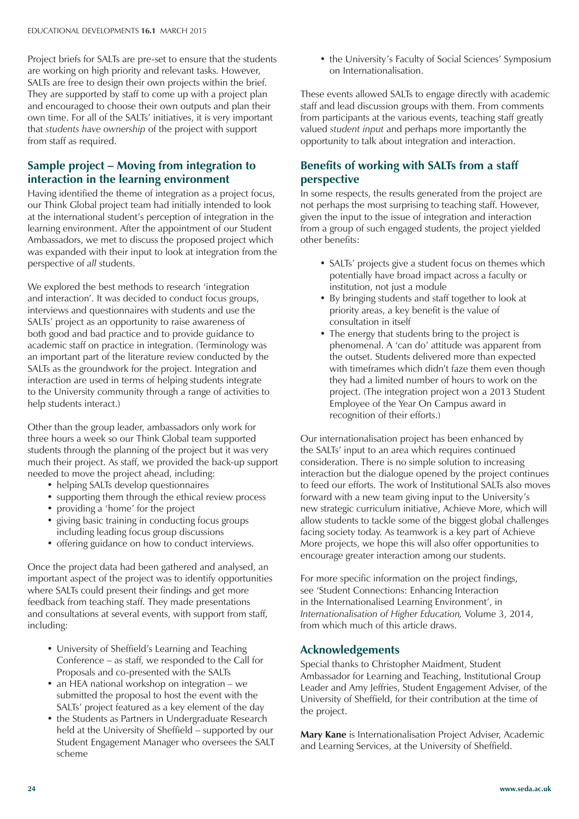Project briefs for SALTs are pre-set to ensure that the students are working on high priority and relevant tasks. However, SALTs are free to design their own projects within the brief. They are supported by staff to come up with a project plan and encouraged to choose their own outputs and plan their own time. For all of the SALTs' initiatives, it is very important that *students have ownership* of the project with support from staff as required.

#### **Sample project – Moving from integration to interaction in the learning environment**

Having identified the theme of integration as a project focus, our Think Global project team had initially intended to look at the international student's perception of integration in the learning environment. After the appointment of our Student Ambassadors, we met to discuss the proposed project which was expanded with their input to look at integration from the perspective of *all* students.

We explored the best methods to research 'integration and interaction'. It was decided to conduct focus groups, interviews and questionnaires with students and use the SALTs' project as an opportunity to raise awareness of both good and bad practice and to provide guidance to academic staff on practice in integration. (Terminology was an important part of the literature review conducted by the SALTs as the groundwork for the project. Integration and interaction are used in terms of helping students integrate to the University community through a range of activities to help students interact.)

Other than the group leader, ambassadors only work for three hours a week so our Think Global team supported students through the planning of the project but it was very much their project. As staff, we provided the back-up support needed to move the project ahead, including:

- helping SALTs develop questionnaires
- supporting them through the ethical review process
- providing a 'home' for the project
- giving basic training in conducting focus groups including leading focus group discussions
- offering guidance on how to conduct interviews.

Once the project data had been gathered and analysed, an important aspect of the project was to identify opportunities where SALTs could present their findings and get more feedback from teaching staff. They made presentations and consultations at several events, with support from staff, including:

- University of Sheffield's Learning and Teaching Conference – as staff, we responded to the Call for Proposals and co-presented with the SALTs
- an HEA national workshop on integration we submitted the proposal to host the event with the SALTs' project featured as a key element of the day
- the Students as Partners in Undergraduate Research held at the University of Sheffield – supported by our Student Engagement Manager who oversees the SALT scheme

• the University's Faculty of Social Sciences' Symposium on Internationalisation.

These events allowed SALTs to engage directly with academic staff and lead discussion groups with them. From comments from participants at the various events, teaching staff greatly valued *student input* and perhaps more importantly the opportunity to talk about integration and interaction.

### **Benefits of working with SALTs from a staff perspective**

In some respects, the results generated from the project are not perhaps the most surprising to teaching staff. However, given the input to the issue of integration and interaction from a group of such engaged students, the project yielded other benefits:

- SALTs' projects give a student focus on themes which potentially have broad impact across a faculty or institution, not just a module
- By bringing students and staff together to look at priority areas, a key benefit is the value of consultation in itself
- The energy that students bring to the project is phenomenal. A 'can do' attitude was apparent from the outset. Students delivered more than expected with timeframes which didn't faze them even though they had a limited number of hours to work on the project. (The integration project won a 2013 Student Employee of the Year On Campus award in recognition of their efforts.)

Our internationalisation project has been enhanced by the SALTs' input to an area which requires continued consideration. There is no simple solution to increasing interaction but the dialogue opened by the project continues to feed our efforts. The work of Institutional SALTs also moves forward with a new team giving input to the University's new strategic curriculum initiative, Achieve More, which will allow students to tackle some of the biggest global challenges facing society today. As teamwork is a key part of Achieve More projects, we hope this will also offer opportunities to encourage greater interaction among our students.

For more specific information on the project findings, see 'Student Connections: Enhancing Interaction in the Internationalised Learning Environment', in *Internationalisation of Higher Education,* Volume 3, 2014, from which much of this article draws.

#### **Acknowledgements**

Special thanks to Christopher Maidment, Student Ambassador for Learning and Teaching, Institutional Group Leader and Amy Jeffries, Student Engagement Adviser, of the University of Sheffield, for their contribution at the time of the project.

**Mary Kane** is Internationalisation Project Adviser, Academic and Learning Services, at the University of Sheffield.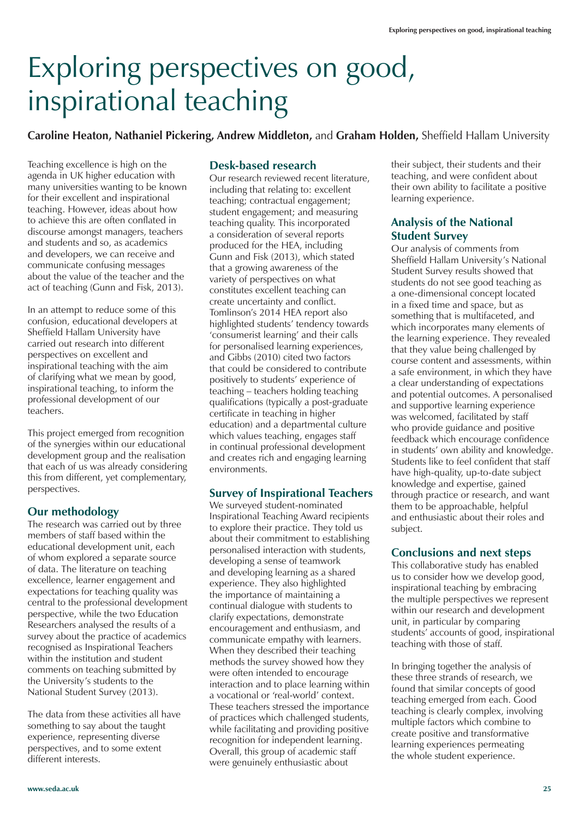## Exploring perspectives on good, inspirational teaching

**Caroline Heaton, Nathaniel Pickering, Andrew Middleton,** and **Graham Holden,** Sheffield Hallam University

Teaching excellence is high on the agenda in UK higher education with many universities wanting to be known for their excellent and inspirational teaching. However, ideas about how to achieve this are often conflated in discourse amongst managers, teachers and students and so, as academics and developers, we can receive and communicate confusing messages about the value of the teacher and the act of teaching (Gunn and Fisk, 2013).

In an attempt to reduce some of this confusion, educational developers at Sheffield Hallam University have carried out research into different perspectives on excellent and inspirational teaching with the aim of clarifying what we mean by good, inspirational teaching, to inform the professional development of our teachers.

This project emerged from recognition of the synergies within our educational development group and the realisation that each of us was already considering this from different, yet complementary, perspectives.

#### **Our methodology**

The research was carried out by three members of staff based within the educational development unit, each of whom explored a separate source of data. The literature on teaching excellence, learner engagement and expectations for teaching quality was central to the professional development perspective, while the two Education Researchers analysed the results of a survey about the practice of academics recognised as Inspirational Teachers within the institution and student comments on teaching submitted by the University's students to the National Student Survey (2013).

The data from these activities all have something to say about the taught experience, representing diverse perspectives, and to some extent different interests.

#### **Desk-based research**

Our research reviewed recent literature, including that relating to: excellent teaching; contractual engagement; student engagement; and measuring teaching quality. This incorporated a consideration of several reports produced for the HEA, including Gunn and Fisk (2013), which stated that a growing awareness of the variety of perspectives on what constitutes excellent teaching can create uncertainty and conflict. Tomlinson's 2014 HEA report also highlighted students' tendency towards 'consumerist learning' and their calls for personalised learning experiences, and Gibbs (2010) cited two factors that could be considered to contribute positively to students' experience of teaching – teachers holding teaching qualifications (typically a post-graduate certificate in teaching in higher education) and a departmental culture which values teaching, engages staff in continual professional development and creates rich and engaging learning environments.

#### **Survey of Inspirational Teachers**

We surveyed student-nominated Inspirational Teaching Award recipients to explore their practice. They told us about their commitment to establishing personalised interaction with students, developing a sense of teamwork and developing learning as a shared experience. They also highlighted the importance of maintaining a continual dialogue with students to clarify expectations, demonstrate encouragement and enthusiasm, and communicate empathy with learners. When they described their teaching methods the survey showed how they were often intended to encourage interaction and to place learning within a vocational or 'real-world' context. These teachers stressed the importance of practices which challenged students, while facilitating and providing positive recognition for independent learning. Overall, this group of academic staff were genuinely enthusiastic about

their subject, their students and their teaching, and were confident about their own ability to facilitate a positive learning experience.

#### **Analysis of the National Student Survey**

Our analysis of comments from Sheffield Hallam University's National Student Survey results showed that students do not see good teaching as a one-dimensional concept located in a fixed time and space, but as something that is multifaceted, and which incorporates many elements of the learning experience. They revealed that they value being challenged by course content and assessments, within a safe environment, in which they have a clear understanding of expectations and potential outcomes. A personalised and supportive learning experience was welcomed, facilitated by staff who provide guidance and positive feedback which encourage confidence in students' own ability and knowledge. Students like to feel confident that staff have high-quality, up-to-date subject knowledge and expertise, gained through practice or research, and want them to be approachable, helpful and enthusiastic about their roles and subject.

#### **Conclusions and next steps**

This collaborative study has enabled us to consider how we develop good, inspirational teaching by embracing the multiple perspectives we represent within our research and development unit, in particular by comparing students' accounts of good, inspirational teaching with those of staff.

In bringing together the analysis of these three strands of research, we found that similar concepts of good teaching emerged from each. Good teaching is clearly complex, involving multiple factors which combine to create positive and transformative learning experiences permeating the whole student experience.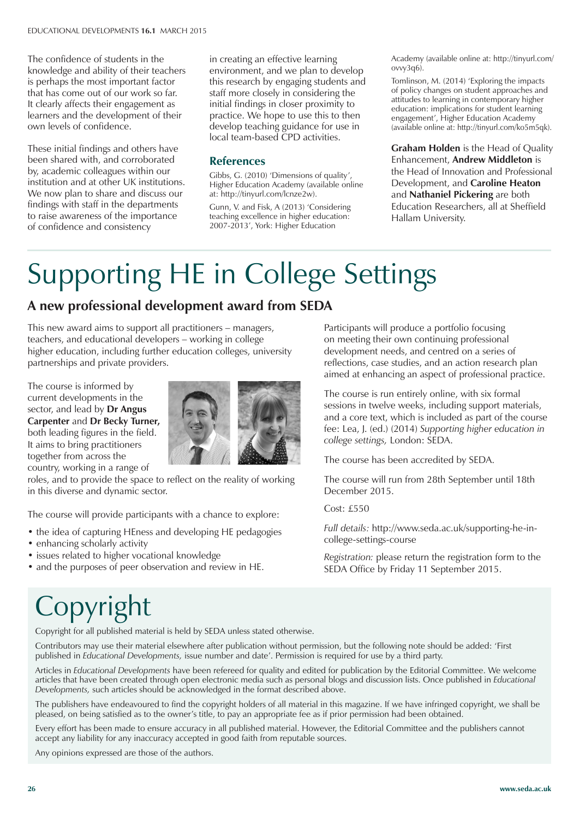The confidence of students in the knowledge and ability of their teachers is perhaps the most important factor that has come out of our work so far. It clearly affects their engagement as learners and the development of their own levels of confidence.

These initial findings and others have been shared with, and corroborated by, academic colleagues within our institution and at other UK institutions. We now plan to share and discuss our findings with staff in the departments to raise awareness of the importance of confidence and consistency

in creating an effective learning environment, and we plan to develop this research by engaging students and staff more closely in considering the initial findings in closer proximity to practice. We hope to use this to then develop teaching guidance for use in local team-based CPD activities.

#### **References**

Gibbs, G. (2010) 'Dimensions of quality', Higher Education Academy (available online at: http://tinyurl.com/lcnze2w).

Gunn, V. and Fisk, A (2013) 'Considering teaching excellence in higher education: 2007-2013', York: Higher Education

Academy (available online at: http://tinyurl.com/ ovvy3q6).

Tomlinson, M. (2014) 'Exploring the impacts of policy changes on student approaches and attitudes to learning in contemporary higher education: implications for student learning engagement', Higher Education Academy (available online at: http://tinyurl.com/ko5m5qk).

**Graham Holden** is the Head of Quality Enhancement, **Andrew Middleton** is the Head of Innovation and Professional Development, and **Caroline Heaton** and **Nathaniel Pickering** are both Education Researchers, all at Sheffield Hallam University.

# Supporting HE in College Settings

### **A new professional development award from SEDA**

This new award aims to support all practitioners – managers, teachers, and educational developers – working in college higher education, including further education colleges, university partnerships and private providers.

The course is informed by current developments in the sector, and lead by **Dr Angus Carpenter** and **Dr Becky Turner,** both leading figures in the field. It aims to bring practitioners together from across the country, working in a range of



roles, and to provide the space to reflect on the reality of working in this diverse and dynamic sector.

The course will provide participants with a chance to explore:

- the idea of capturing HEness and developing HE pedagogies
- enhancing scholarly activity
- issues related to higher vocational knowledge
- and the purposes of peer observation and review in HE.

Participants will produce a portfolio focusing on meeting their own continuing professional development needs, and centred on a series of reflections, case studies, and an action research plan aimed at enhancing an aspect of professional practice.

The course is run entirely online, with six formal sessions in twelve weeks, including support materials, and a core text, which is included as part of the course fee: Lea, J. (ed.) (2014) *Supporting higher education in college settings,* London: SEDA.

The course has been accredited by SEDA.

The course will run from 28th September until 18th December 2015.

Cost: £550

*Full details:* http://www.seda.ac.uk/supporting-he-incollege-settings-course

*Registration:* please return the registration form to the SEDA Office by Friday 11 September 2015.

## Copyright

Copyright for all published material is held by SEDA unless stated otherwise.

Contributors may use their material elsewhere after publication without permission, but the following note should be added: 'First published in *Educational Developments,* issue number and date'. Permission is required for use by a third party.

Articles in *Educational Developments* have been refereed for quality and edited for publication by the Editorial Committee. We welcome articles that have been created through open electronic media such as personal blogs and discussion lists. Once published in *Educational Developments,* such articles should be acknowledged in the format described above.

The publishers have endeavoured to find the copyright holders of all material in this magazine. If we have infringed copyright, we shall be pleased, on being satisfied as to the owner's title, to pay an appropriate fee as if prior permission had been obtained.

Every effort has been made to ensure accuracy in all published material. However, the Editorial Committee and the publishers cannot accept any liability for any inaccuracy accepted in good faith from reputable sources.

Any opinions expressed are those of the authors.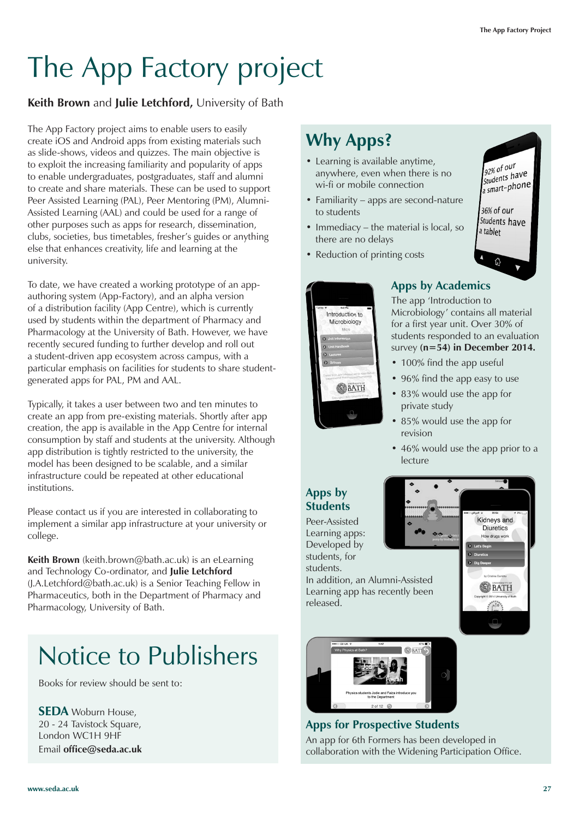# The App Factory project

#### **Keith Brown** and **Julie Letchford,** University of Bath

The App Factory project aims to enable users to easily create iOS and Android apps from existing materials such as slide-shows, videos and quizzes. The main objective is to exploit the increasing familiarity and popularity of apps to enable undergraduates, postgraduates, staff and alumni to create and share materials. These can be used to support Peer Assisted Learning (PAL), Peer Mentoring (PM), Alumni-Assisted Learning (AAL) and could be used for a range of other purposes such as apps for research, dissemination, clubs, societies, bus timetables, fresher's guides or anything else that enhances creativity, life and learning at the university.

To date, we have created a working prototype of an appauthoring system (App-Factory), and an alpha version of a distribution facility (App Centre), which is currently used by students within the department of Pharmacy and Pharmacology at the University of Bath. However, we have recently secured funding to further develop and roll out a student-driven app ecosystem across campus, with a particular emphasis on facilities for students to share studentgenerated apps for PAL, PM and AAL.

Typically, it takes a user between two and ten minutes to create an app from pre-existing materials. Shortly after app creation, the app is available in the App Centre for internal consumption by staff and students at the university. Although app distribution is tightly restricted to the university, the model has been designed to be scalable, and a similar infrastructure could be repeated at other educational institutions.

Please contact us if you are interested in collaborating to implement a similar app infrastructure at your university or college.

**Keith Brown** (keith.brown@bath.ac.uk) is an eLearning and Technology Co-ordinator, and **Julie Letchford** (J.A.Letchford@bath.ac.uk) is a Senior Teaching Fellow in Pharmaceutics, both in the Department of Pharmacy and Pharmacology, University of Bath.

### Notice to Publishers

Books for review should be sent to:

**SEDA** Woburn House, 20 - 24 Tavistock Square, London WC1H 9HF Email **office@seda.ac.uk**

### **Why Apps?**

- Learning is available anytime, anywhere, even when there is no wi-fi or mobile connection
- Familiarity apps are second-nature to students
- Immediacy the material is local, so there are no delays
- Reduction of printing costs



### **Apps by Academics**

The app 'Introduction to Microbiology' contains all material for a first year unit. Over 30% of students responded to an evaluation survey **(n=54) in December 2014.**

- 100% find the app useful
- 96% find the app easy to use
- 83% would use the app for private study
- 85% would use the app for revision
- 46% would use the app prior to a lecture

Kidneys and **Diuretics** How drugs work

BATH

### **Apps by Students**

Peer-Assisted Learning apps: Developed by students, for students.

In addition, an Alumni-Assisted Learning app has recently been released.



### **Apps for Prospective Students**

An app for 6th Formers has been developed in collaboration with the Widening Participation Office.

 $92%$  of our 92% of our<br>students have  $\int_{a}^{Stu$  and  $t$ -phone 36% of our Students have a tablet

 $\widehat{\mathbb{G}}$